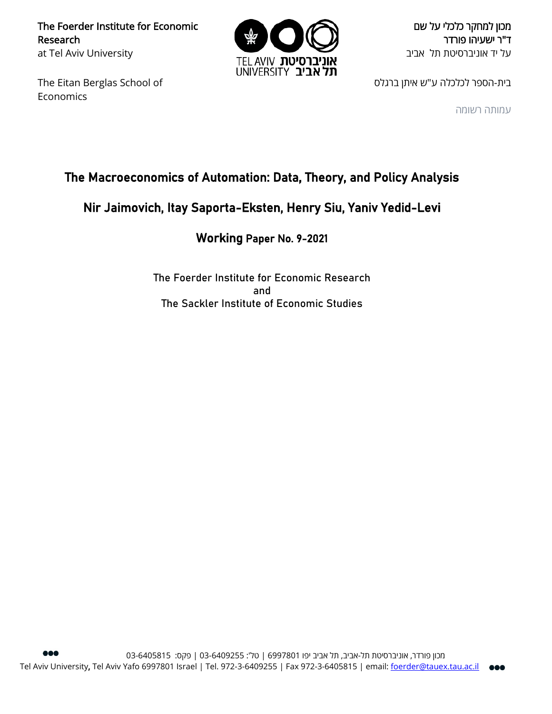The Foerder Institute for Economic Research at Tel Aviv University

The Eitan Berglas School of Economics



מכון למחקר כלכלי על שם ד"ר ישעיהו פורדר על יד אוניברסיטת תל אביב

בית-הספר לכלכלה ע"ש איתן ברגלס

עמותה רשומה

# The Macroeconomics of Automation: Data, Theory, and Policy Analysis

# Nir Jaimovich, Itay Saporta-Eksten, Henry Siu, Yaniv Yedid-Levi

## Working Paper No. 9-2021

The Foerder Institute for Economic Research and The Sackler Institute of Economic Studies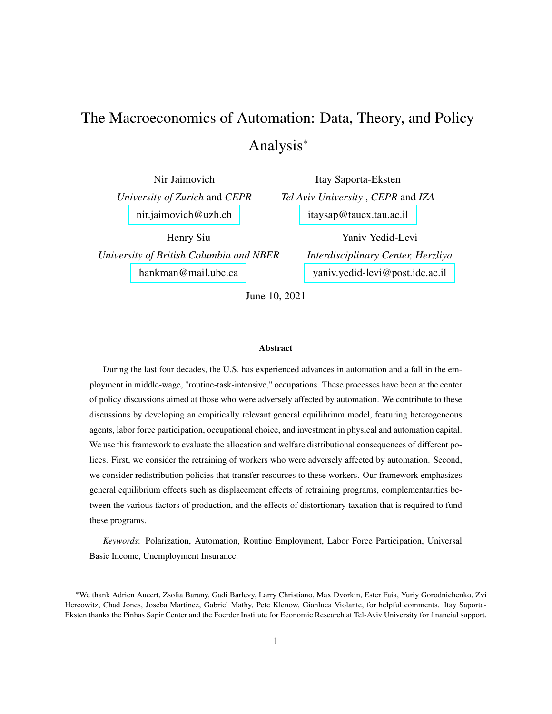# The Macroeconomics of Automation: Data, Theory, and Policy Analysis<sup>∗</sup>

Nir Jaimovich *University of Zurich* and *CEPR* [nir.jaimovich@uzh.ch](mailto:nir.jaimovich%40uzh.ch)

Itay Saporta-Eksten *Tel Aviv University* , *CEPR* and *IZA* [itaysap@tauex.tau.ac.il](mailto:itaysap%40tauex.tau.ac.il)

Henry Siu *University of British Columbia and NBER* [hankman@mail.ubc.ca](mailto:hankman%40mail.ubc.ca)

Yaniv Yedid-Levi *Interdisciplinary Center, Herzliya* [yaniv.yedid-levi@post.idc.ac.il](mailto:yaniv.yl1%40gmail.com)

June 10, 2021

#### Abstract

During the last four decades, the U.S. has experienced advances in automation and a fall in the employment in middle-wage, "routine-task-intensive," occupations. These processes have been at the center of policy discussions aimed at those who were adversely affected by automation. We contribute to these discussions by developing an empirically relevant general equilibrium model, featuring heterogeneous agents, labor force participation, occupational choice, and investment in physical and automation capital. We use this framework to evaluate the allocation and welfare distributional consequences of different polices. First, we consider the retraining of workers who were adversely affected by automation. Second, we consider redistribution policies that transfer resources to these workers. Our framework emphasizes general equilibrium effects such as displacement effects of retraining programs, complementarities between the various factors of production, and the effects of distortionary taxation that is required to fund these programs.

*Keywords*: Polarization, Automation, Routine Employment, Labor Force Participation, Universal Basic Income, Unemployment Insurance.

<sup>∗</sup>We thank Adrien Aucert, Zsofia Barany, Gadi Barlevy, Larry Christiano, Max Dvorkin, Ester Faia, Yuriy Gorodnichenko, Zvi Hercowitz, Chad Jones, Joseba Martinez, Gabriel Mathy, Pete Klenow, Gianluca Violante, for helpful comments. Itay Saporta-Eksten thanks the Pinhas Sapir Center and the Foerder Institute for Economic Research at Tel-Aviv University for financial support.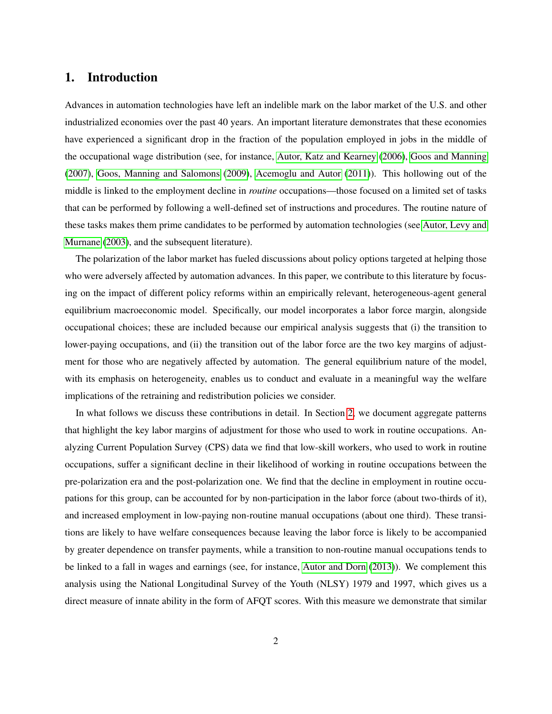## 1. Introduction

Advances in automation technologies have left an indelible mark on the labor market of the U.S. and other industrialized economies over the past 40 years. An important literature demonstrates that these economies have experienced a significant drop in the fraction of the population employed in jobs in the middle of the occupational wage distribution (see, for instance, [Autor, Katz and Kearney](#page-29-0) [\(2006\)](#page-29-0), [Goos and Manning](#page-30-0) [\(2007\)](#page-30-0), [Goos, Manning and Salomons](#page-30-1) [\(2009\)](#page-30-1), [Acemoglu and Autor](#page-29-1) [\(2011\)](#page-29-1)). This hollowing out of the middle is linked to the employment decline in *routine* occupations—those focused on a limited set of tasks that can be performed by following a well-defined set of instructions and procedures. The routine nature of these tasks makes them prime candidates to be performed by automation technologies (see [Autor, Levy and](#page-29-2) [Murnane](#page-29-2) [\(2003\)](#page-29-2), and the subsequent literature).

The polarization of the labor market has fueled discussions about policy options targeted at helping those who were adversely affected by automation advances. In this paper, we contribute to this literature by focusing on the impact of different policy reforms within an empirically relevant, heterogeneous-agent general equilibrium macroeconomic model. Specifically, our model incorporates a labor force margin, alongside occupational choices; these are included because our empirical analysis suggests that (i) the transition to lower-paying occupations, and (ii) the transition out of the labor force are the two key margins of adjustment for those who are negatively affected by automation. The general equilibrium nature of the model, with its emphasis on heterogeneity, enables us to conduct and evaluate in a meaningful way the welfare implications of the retraining and redistribution policies we consider.

In what follows we discuss these contributions in detail. In Section [2,](#page-5-0) we document aggregate patterns that highlight the key labor margins of adjustment for those who used to work in routine occupations. Analyzing Current Population Survey (CPS) data we find that low-skill workers, who used to work in routine occupations, suffer a significant decline in their likelihood of working in routine occupations between the pre-polarization era and the post-polarization one. We find that the decline in employment in routine occupations for this group, can be accounted for by non-participation in the labor force (about two-thirds of it), and increased employment in low-paying non-routine manual occupations (about one third). These transitions are likely to have welfare consequences because leaving the labor force is likely to be accompanied by greater dependence on transfer payments, while a transition to non-routine manual occupations tends to be linked to a fall in wages and earnings (see, for instance, [Autor and Dorn](#page-29-3) [\(2013\)](#page-29-3)). We complement this analysis using the National Longitudinal Survey of the Youth (NLSY) 1979 and 1997, which gives us a direct measure of innate ability in the form of AFQT scores. With this measure we demonstrate that similar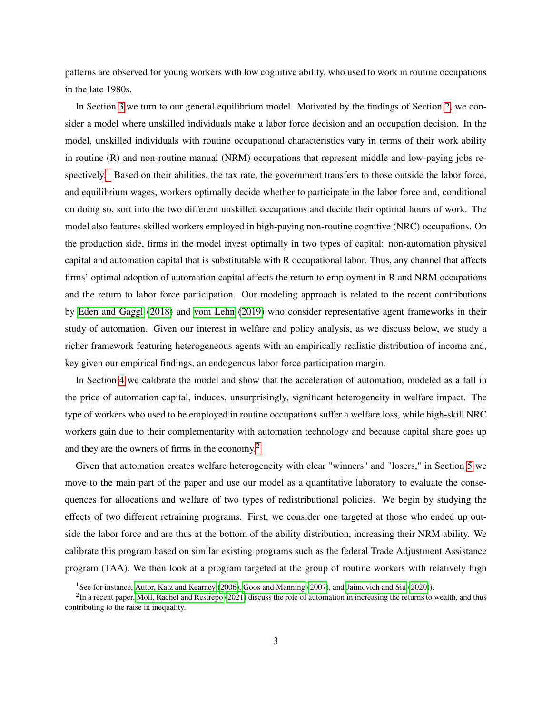patterns are observed for young workers with low cognitive ability, who used to work in routine occupations in the late 1980s.

In Section [3](#page-8-0) we turn to our general equilibrium model. Motivated by the findings of Section [2,](#page-5-0) we consider a model where unskilled individuals make a labor force decision and an occupation decision. In the model, unskilled individuals with routine occupational characteristics vary in terms of their work ability in routine (R) and non-routine manual (NRM) occupations that represent middle and low-paying jobs re-spectively.<sup>[1](#page-3-0)</sup> Based on their abilities, the tax rate, the government transfers to those outside the labor force, and equilibrium wages, workers optimally decide whether to participate in the labor force and, conditional on doing so, sort into the two different unskilled occupations and decide their optimal hours of work. The model also features skilled workers employed in high-paying non-routine cognitive (NRC) occupations. On the production side, firms in the model invest optimally in two types of capital: non-automation physical capital and automation capital that is substitutable with R occupational labor. Thus, any channel that affects firms' optimal adoption of automation capital affects the return to employment in R and NRM occupations and the return to labor force participation. Our modeling approach is related to the recent contributions by [Eden and Gaggl](#page-30-2) [\(2018\)](#page-30-2) and [vom Lehn](#page-31-0) [\(2019\)](#page-31-0) who consider representative agent frameworks in their study of automation. Given our interest in welfare and policy analysis, as we discuss below, we study a richer framework featuring heterogeneous agents with an empirically realistic distribution of income and, key given our empirical findings, an endogenous labor force participation margin.

In Section [4](#page-14-0) we calibrate the model and show that the acceleration of automation, modeled as a fall in the price of automation capital, induces, unsurprisingly, significant heterogeneity in welfare impact. The type of workers who used to be employed in routine occupations suffer a welfare loss, while high-skill NRC workers gain due to their complementarity with automation technology and because capital share goes up and they are the owners of firms in the economy.[2](#page-3-1)

Given that automation creates welfare heterogeneity with clear "winners" and "losers," in Section [5](#page-18-0) we move to the main part of the paper and use our model as a quantitative laboratory to evaluate the consequences for allocations and welfare of two types of redistributional policies. We begin by studying the effects of two different retraining programs. First, we consider one targeted at those who ended up outside the labor force and are thus at the bottom of the ability distribution, increasing their NRM ability. We calibrate this program based on similar existing programs such as the federal Trade Adjustment Assistance program (TAA). We then look at a program targeted at the group of routine workers with relatively high

<span id="page-3-1"></span><span id="page-3-0"></span><sup>&</sup>lt;sup>1</sup>See for instance, [Autor, Katz and Kearney](#page-29-0) [\(2006\)](#page-29-0), [Goos and Manning](#page-30-0) [\(2007\)](#page-30-0), and [Jaimovich and Siu](#page-30-3) [\(2020\)](#page-30-3)).

 $2$ In a recent paper, [Moll, Rachel and Restrepo](#page-31-1) [\(2021\)](#page-31-1) discuss the role of automation in increasing the returns to wealth, and thus contributing to the raise in inequality.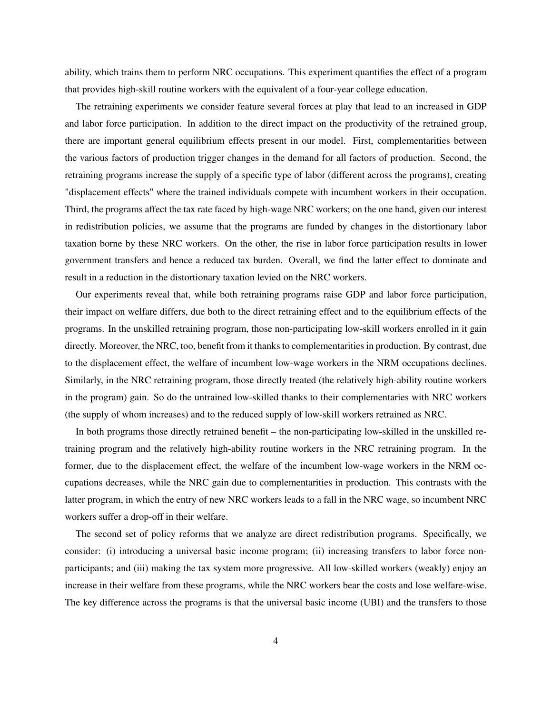ability, which trains them to perform NRC occupations. This experiment quantifies the effect of a program that provides high-skill routine workers with the equivalent of a four-year college education.

The retraining experiments we consider feature several forces at play that lead to an increased in GDP and labor force participation. In addition to the direct impact on the productivity of the retrained group, there are important general equilibrium effects present in our model. First, complementarities between the various factors of production trigger changes in the demand for all factors of production. Second, the retraining programs increase the supply of a specific type of labor (different across the programs), creating "displacement effects" where the trained individuals compete with incumbent workers in their occupation. Third, the programs affect the tax rate faced by high-wage NRC workers; on the one hand, given our interest in redistribution policies, we assume that the programs are funded by changes in the distortionary labor taxation borne by these NRC workers. On the other, the rise in labor force participation results in lower government transfers and hence a reduced tax burden. Overall, we find the latter effect to dominate and result in a reduction in the distortionary taxation levied on the NRC workers.

Our experiments reveal that, while both retraining programs raise GDP and labor force participation, their impact on welfare differs, due both to the direct retraining effect and to the equilibrium effects of the programs. In the unskilled retraining program, those non-participating low-skill workers enrolled in it gain directly. Moreover, the NRC, too, benefit from it thanks to complementarities in production. By contrast, due to the displacement effect, the welfare of incumbent low-wage workers in the NRM occupations declines. Similarly, in the NRC retraining program, those directly treated (the relatively high-ability routine workers in the program) gain. So do the untrained low-skilled thanks to their complementaries with NRC workers (the supply of whom increases) and to the reduced supply of low-skill workers retrained as NRC.

In both programs those directly retrained benefit – the non-participating low-skilled in the unskilled retraining program and the relatively high-ability routine workers in the NRC retraining program. In the former, due to the displacement effect, the welfare of the incumbent low-wage workers in the NRM occupations decreases, while the NRC gain due to complementarities in production. This contrasts with the latter program, in which the entry of new NRC workers leads to a fall in the NRC wage, so incumbent NRC workers suffer a drop-off in their welfare.

The second set of policy reforms that we analyze are direct redistribution programs. Specifically, we consider: (i) introducing a universal basic income program; (ii) increasing transfers to labor force nonparticipants; and (iii) making the tax system more progressive. All low-skilled workers (weakly) enjoy an increase in their welfare from these programs, while the NRC workers bear the costs and lose welfare-wise. The key difference across the programs is that the universal basic income (UBI) and the transfers to those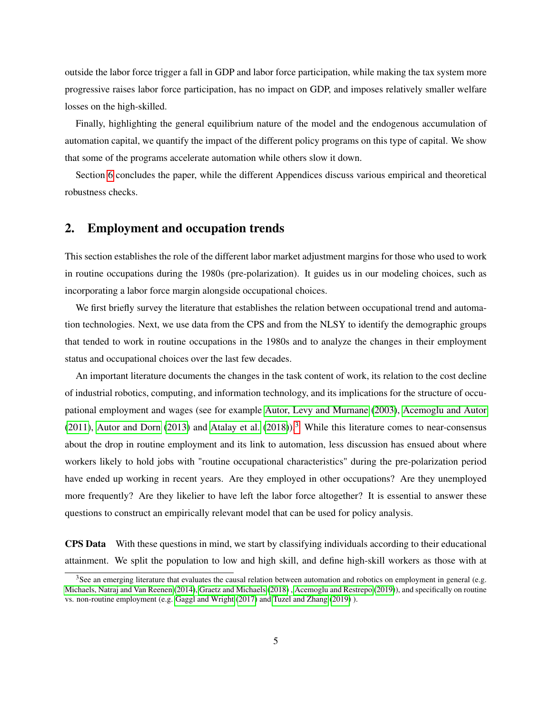outside the labor force trigger a fall in GDP and labor force participation, while making the tax system more progressive raises labor force participation, has no impact on GDP, and imposes relatively smaller welfare losses on the high-skilled.

Finally, highlighting the general equilibrium nature of the model and the endogenous accumulation of automation capital, we quantify the impact of the different policy programs on this type of capital. We show that some of the programs accelerate automation while others slow it down.

<span id="page-5-0"></span>Section [6](#page-28-0) concludes the paper, while the different Appendices discuss various empirical and theoretical robustness checks.

## 2. Employment and occupation trends

This section establishes the role of the different labor market adjustment margins for those who used to work in routine occupations during the 1980s (pre-polarization). It guides us in our modeling choices, such as incorporating a labor force margin alongside occupational choices.

We first briefly survey the literature that establishes the relation between occupational trend and automation technologies. Next, we use data from the CPS and from the NLSY to identify the demographic groups that tended to work in routine occupations in the 1980s and to analyze the changes in their employment status and occupational choices over the last few decades.

An important literature documents the changes in the task content of work, its relation to the cost decline of industrial robotics, computing, and information technology, and its implications for the structure of occupational employment and wages (see for example [Autor, Levy and Murnane](#page-29-2) [\(2003\)](#page-29-2), [Acemoglu and Autor](#page-29-1) [\(2011\)](#page-29-1), [Autor and Dorn](#page-29-3) [\(2013\)](#page-29-3) and [Atalay et al.](#page-29-4) [\(2018\)](#page-29-4)).<sup>[3](#page-5-1)</sup> While this literature comes to near-consensus about the drop in routine employment and its link to automation, less discussion has ensued about where workers likely to hold jobs with "routine occupational characteristics" during the pre-polarization period have ended up working in recent years. Are they employed in other occupations? Are they unemployed more frequently? Are they likelier to have left the labor force altogether? It is essential to answer these questions to construct an empirically relevant model that can be used for policy analysis.

CPS Data With these questions in mind, we start by classifying individuals according to their educational attainment. We split the population to low and high skill, and define high-skill workers as those with at

<span id="page-5-1"></span> $3$ See an emerging literature that evaluates the causal relation between automation and robotics on employment in general (e.g. [Michaels, Natraj and Van Reenen](#page-31-2) [\(2014\)](#page-31-2), [Graetz and Michaels](#page-30-4) [\(2018\)](#page-30-4) , [Acemoglu and Restrepo](#page-29-5) [\(2019\)](#page-29-5)), and specifically on routine vs. non-routine employment (e.g. [Gaggl and Wright](#page-30-5) [\(2017\)](#page-30-5) and [Tuzel and Zhang](#page-31-3) [\(2019\)](#page-31-3) ).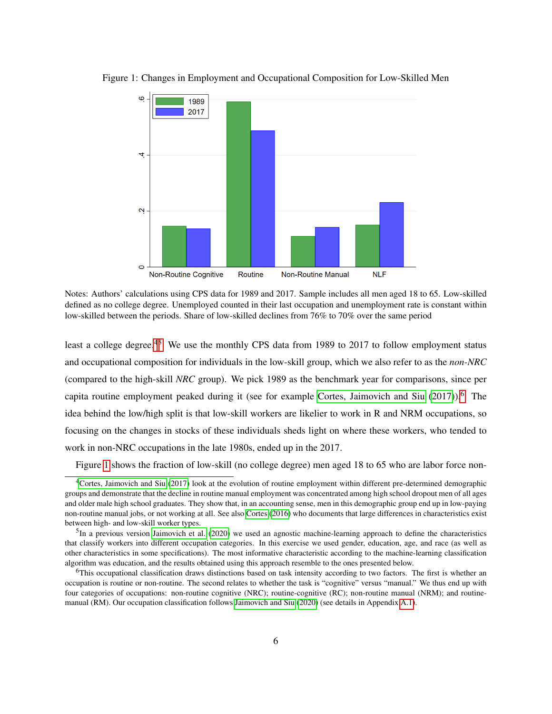<span id="page-6-3"></span>

Figure 1: Changes in Employment and Occupational Composition for Low-Skilled Men

Notes: Authors' calculations using CPS data for 1989 and 2017. Sample includes all men aged 18 to 65. Low-skilled defined as no college degree. Unemployed counted in their last occupation and unemployment rate is constant within low-skilled between the periods. Share of low-skilled declines from 76% to 70% over the same period

least a college degree.<sup>[4](#page-6-0)[5](#page-6-1)</sup> We use the monthly CPS data from 1989 to 2017 to follow employment status and occupational composition for individuals in the low-skill group, which we also refer to as the *non-NRC* (compared to the high-skill *NRC* group). We pick 1989 as the benchmark year for comparisons, since per capita routine employment peaked during it (see for example [Cortes, Jaimovich and Siu](#page-29-6)  $(2017)$ ).<sup>[6](#page-6-2)</sup> The idea behind the low/high split is that low-skill workers are likelier to work in R and NRM occupations, so focusing on the changes in stocks of these individuals sheds light on where these workers, who tended to work in non-NRC occupations in the late 1980s, ended up in the 2017.

Figure [1](#page-6-3) shows the fraction of low-skill (no college degree) men aged 18 to 65 who are labor force non-

<span id="page-6-0"></span><sup>4</sup>[Cortes, Jaimovich and Siu](#page-29-6) [\(2017\)](#page-29-6) look at the evolution of routine employment within different pre-determined demographic groups and demonstrate that the decline in routine manual employment was concentrated among high school dropout men of all ages and older male high school graduates. They show that, in an accounting sense, men in this demographic group end up in low-paying non-routine manual jobs, or not working at all. See also [Cortes](#page-30-6) [\(2016\)](#page-30-6) who documents that large differences in characteristics exist between high- and low-skill worker types.

<span id="page-6-1"></span> ${}^{5}$ In a previous version [Jaimovich et al.](#page-30-7) [\(2020\)](#page-30-7) we used an agnostic machine-learning approach to define the characteristics that classify workers into different occupation categories. In this exercise we used gender, education, age, and race (as well as other characteristics in some specifications). The most informative characteristic according to the machine-learning classification algorithm was education, and the results obtained using this approach resemble to the ones presented below.

<span id="page-6-2"></span><sup>&</sup>lt;sup>6</sup>This occupational classification draws distinctions based on task intensity according to two factors. The first is whether an occupation is routine or non-routine. The second relates to whether the task is "cognitive" versus "manual." We thus end up with four categories of occupations: non-routine cognitive (NRC); routine-cognitive (RC); non-routine manual (NRM); and routinemanual (RM). Our occupation classification follows [Jaimovich and Siu](#page-30-3) [\(2020\)](#page-30-3) (see details in Appendix [A.1\)](#page-32-0).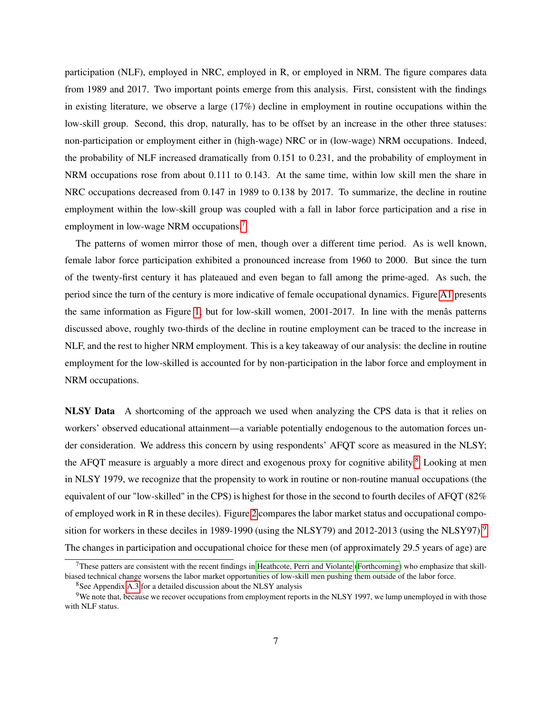participation (NLF), employed in NRC, employed in R, or employed in NRM. The figure compares data from 1989 and 2017. Two important points emerge from this analysis. First, consistent with the findings in existing literature, we observe a large (17%) decline in employment in routine occupations within the low-skill group. Second, this drop, naturally, has to be offset by an increase in the other three statuses: non-participation or employment either in (high-wage) NRC or in (low-wage) NRM occupations. Indeed, the probability of NLF increased dramatically from 0.151 to 0.231, and the probability of employment in NRM occupations rose from about 0.111 to 0.143. At the same time, within low skill men the share in NRC occupations decreased from 0.147 in 1989 to 0.138 by 2017. To summarize, the decline in routine employment within the low-skill group was coupled with a fall in labor force participation and a rise in employment in low-wage NRM occupations.<sup>[7](#page-7-0)</sup>

The patterns of women mirror those of men, though over a different time period. As is well known, female labor force participation exhibited a pronounced increase from 1960 to 2000. But since the turn of the twenty-first century it has plateaued and even began to fall among the prime-aged. As such, the period since the turn of the century is more indicative of female occupational dynamics. Figure [A1](#page-6-3) presents the same information as Figure [1,](#page-6-3) but for low-skill women, 2001-2017. In line with the menâs patterns discussed above, roughly two-thirds of the decline in routine employment can be traced to the increase in NLF, and the rest to higher NRM employment. This is a key takeaway of our analysis: the decline in routine employment for the low-skilled is accounted for by non-participation in the labor force and employment in NRM occupations.

NLSY Data A shortcoming of the approach we used when analyzing the CPS data is that it relies on workers' observed educational attainment—a variable potentially endogenous to the automation forces under consideration. We address this concern by using respondents' AFQT score as measured in the NLSY; the AFQT measure is arguably a more direct and exogenous proxy for cognitive ability.<sup>[8](#page-7-1)</sup> Looking at men in NLSY 1979, we recognize that the propensity to work in routine or non-routine manual occupations (the equivalent of our "low-skilled" in the CPS) is highest for those in the second to fourth deciles of AFQT (82% of employed work in R in these deciles). Figure [2](#page-8-1) compares the labor market status and occupational compo-sition for workers in these deciles in 1[9](#page-7-2)89-1990 (using the NLSY79) and 2012-2013 (using the NLSY97).<sup>9</sup> The changes in participation and occupational choice for these men (of approximately 29.5 years of age) are

<span id="page-7-0"></span>These patters are consistent with the recent findings in [Heathcote, Perri and Violante](#page-30-8) [\(Forthcoming\)](#page-30-8) who emphasize that skillbiased technical change worsens the labor market opportunities of low-skill men pushing them outside of the labor force.

<span id="page-7-2"></span><span id="page-7-1"></span><sup>&</sup>lt;sup>8</sup>See Appendix [A.3](#page-33-0) for a detailed discussion about the NLSY analysis

<sup>&</sup>lt;sup>9</sup>We note that, because we recover occupations from employment reports in the NLSY 1997, we lump unemployed in with those with NLF status.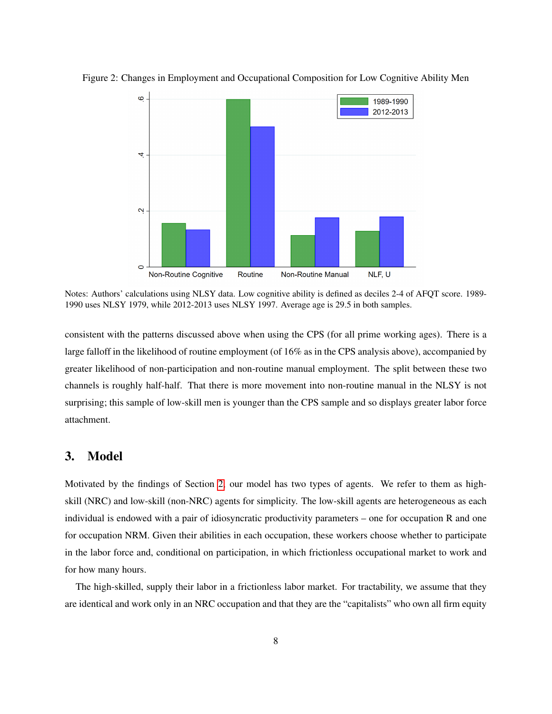<span id="page-8-1"></span>

Figure 2: Changes in Employment and Occupational Composition for Low Cognitive Ability Men

Notes: Authors' calculations using NLSY data. Low cognitive ability is defined as deciles 2-4 of AFQT score. 1989- 1990 uses NLSY 1979, while 2012-2013 uses NLSY 1997. Average age is 29.5 in both samples.

consistent with the patterns discussed above when using the CPS (for all prime working ages). There is a large falloff in the likelihood of routine employment (of 16% as in the CPS analysis above), accompanied by greater likelihood of non-participation and non-routine manual employment. The split between these two channels is roughly half-half. That there is more movement into non-routine manual in the NLSY is not surprising; this sample of low-skill men is younger than the CPS sample and so displays greater labor force attachment.

## <span id="page-8-0"></span>3. Model

Motivated by the findings of Section [2,](#page-5-0) our model has two types of agents. We refer to them as highskill (NRC) and low-skill (non-NRC) agents for simplicity. The low-skill agents are heterogeneous as each individual is endowed with a pair of idiosyncratic productivity parameters – one for occupation R and one for occupation NRM. Given their abilities in each occupation, these workers choose whether to participate in the labor force and, conditional on participation, in which frictionless occupational market to work and for how many hours.

The high-skilled, supply their labor in a frictionless labor market. For tractability, we assume that they are identical and work only in an NRC occupation and that they are the "capitalists" who own all firm equity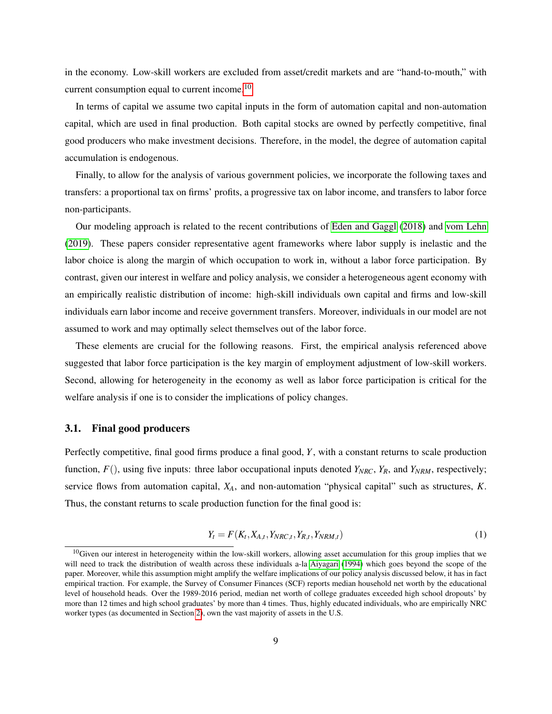in the economy. Low-skill workers are excluded from asset/credit markets and are "hand-to-mouth," with current consumption equal to current income.<sup>[10](#page-9-0)</sup>

In terms of capital we assume two capital inputs in the form of automation capital and non-automation capital, which are used in final production. Both capital stocks are owned by perfectly competitive, final good producers who make investment decisions. Therefore, in the model, the degree of automation capital accumulation is endogenous.

Finally, to allow for the analysis of various government policies, we incorporate the following taxes and transfers: a proportional tax on firms' profits, a progressive tax on labor income, and transfers to labor force non-participants.

Our modeling approach is related to the recent contributions of [Eden and Gaggl](#page-30-2) [\(2018\)](#page-30-2) and [vom Lehn](#page-31-0) [\(2019\)](#page-31-0). These papers consider representative agent frameworks where labor supply is inelastic and the labor choice is along the margin of which occupation to work in, without a labor force participation. By contrast, given our interest in welfare and policy analysis, we consider a heterogeneous agent economy with an empirically realistic distribution of income: high-skill individuals own capital and firms and low-skill individuals earn labor income and receive government transfers. Moreover, individuals in our model are not assumed to work and may optimally select themselves out of the labor force.

These elements are crucial for the following reasons. First, the empirical analysis referenced above suggested that labor force participation is the key margin of employment adjustment of low-skill workers. Second, allowing for heterogeneity in the economy as well as labor force participation is critical for the welfare analysis if one is to consider the implications of policy changes.

#### 3.1. Final good producers

Perfectly competitive, final good firms produce a final good, *Y*, with a constant returns to scale production function,  $F()$ , using five inputs: three labor occupational inputs denoted  $Y_{NRC}$ ,  $Y_R$ , and  $Y_{NRM}$ , respectively; service flows from automation capital, *XA*, and non-automation "physical capital" such as structures, *K*. Thus, the constant returns to scale production function for the final good is:

$$
Y_t = F(K_t, X_{A,t}, Y_{NRC,t}, Y_{R,t}, Y_{NRM,t})
$$
\n(1)

<span id="page-9-0"></span> $10$ Given our interest in heterogeneity within the low-skill workers, allowing asset accumulation for this group implies that we will need to track the distribution of wealth across these individuals a-la [Aiyagari](#page-29-7) [\(1994\)](#page-29-7) which goes beyond the scope of the paper. Moreover, while this assumption might amplify the welfare implications of our policy analysis discussed below, it has in fact empirical traction. For example, the Survey of Consumer Finances (SCF) reports median household net worth by the educational level of household heads. Over the 1989-2016 period, median net worth of college graduates exceeded high school dropouts' by more than 12 times and high school graduates' by more than 4 times. Thus, highly educated individuals, who are empirically NRC worker types (as documented in Section [2\)](#page-5-0), own the vast majority of assets in the U.S.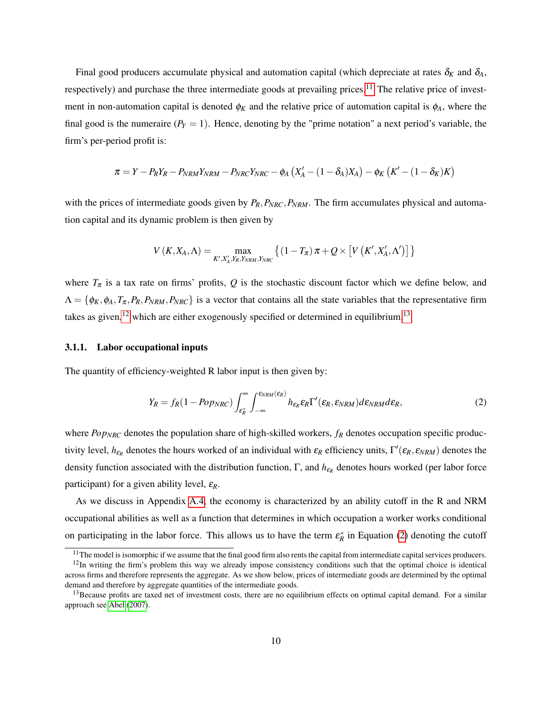Final good producers accumulate physical and automation capital (which depreciate at rates  $\delta_K$  and  $\delta_A$ , respectively) and purchase the three intermediate goods at prevailing prices.<sup>[11](#page-10-0)</sup> The relative price of investment in non-automation capital is denoted  $\phi_K$  and the relative price of automation capital is  $\phi_A$ , where the final good is the numeraire  $(P_Y = 1)$ . Hence, denoting by the "prime notation" a next period's variable, the firm's per-period profit is:

$$
\pi=Y-P_RY_R-P_{NRM}Y_{NRM}-P_{NRC}Y_{NRC}-\phi_A\left(X'_A-(1-\delta_A)X_A\right)-\phi_K\left(K'-(1-\delta_K)K\right)
$$

with the prices of intermediate goods given by  $P_R$ ,  $P_{NRC}$ ,  $P_{NRM}$ . The firm accumulates physical and automation capital and its dynamic problem is then given by

$$
V(K, X_A, \Lambda) = \max_{K', X'_A, Y_R, Y_{NRM}, Y_{NRC}} \left\{ (1 - T_{\pi}) \pi + Q \times \left[ V(K', X'_A, \Lambda') \right] \right\}
$$

where  $T_{\pi}$  is a tax rate on firms' profits, Q is the stochastic discount factor which we define below, and  $\Lambda = \{\phi_K, \phi_A, T_\pi, P_R, P_{NRM}, P_{NRC}\}\$ is a vector that contains all the state variables that the representative firm takes as given,<sup>[12](#page-10-1)</sup> which are either exogenously specified or determined in equilibrium.<sup>[13](#page-10-2)</sup>

#### 3.1.1. Labor occupational inputs

The quantity of efficiency-weighted R labor input is then given by:

<span id="page-10-3"></span>
$$
Y_R = f_R(1 - Pop_{NRC}) \int_{\varepsilon_R^*}^{\infty} \int_{-\infty}^{\varepsilon_{NRM}(\varepsilon_R)} h_{\varepsilon_R} \varepsilon_R \Gamma'(\varepsilon_R, \varepsilon_{NRM}) d\varepsilon_{NRM} d\varepsilon_R, \tag{2}
$$

where *Pop<sub>NRC</sub>* denotes the population share of high-skilled workers,  $f_R$  denotes occupation specific productivity level,  $h_{\varepsilon_R}$  denotes the hours worked of an individual with  $\varepsilon_R$  efficiency units,  $\Gamma'(\varepsilon_R, \varepsilon_{NRM})$  denotes the density function associated with the distribution function,  $\Gamma$ , and  $h_{\varepsilon_R}$  denotes hours worked (per labor force participant) for a given ability level, ε*R*.

As we discuss in Appendix [A.4,](#page-34-0) the economy is characterized by an ability cutoff in the R and NRM occupational abilities as well as a function that determines in which occupation a worker works conditional on participating in the labor force. This allows us to have the term  $\varepsilon_R^*$  in Equation [\(2\)](#page-10-3) denoting the cutoff

<span id="page-10-1"></span><span id="page-10-0"></span> $11$ The model is isomorphic if we assume that the final good firm also rents the capital from intermediate capital services producers.  $12$ In writing the firm's problem this way we already impose consistency conditions such that the optimal choice is identical

across firms and therefore represents the aggregate. As we show below, prices of intermediate goods are determined by the optimal demand and therefore by aggregate quantities of the intermediate goods.

<span id="page-10-2"></span> $13$ Because profits are taxed net of investment costs, there are no equilibrium effects on optimal capital demand. For a similar approach see [Abel](#page-29-8) [\(2007\)](#page-29-8).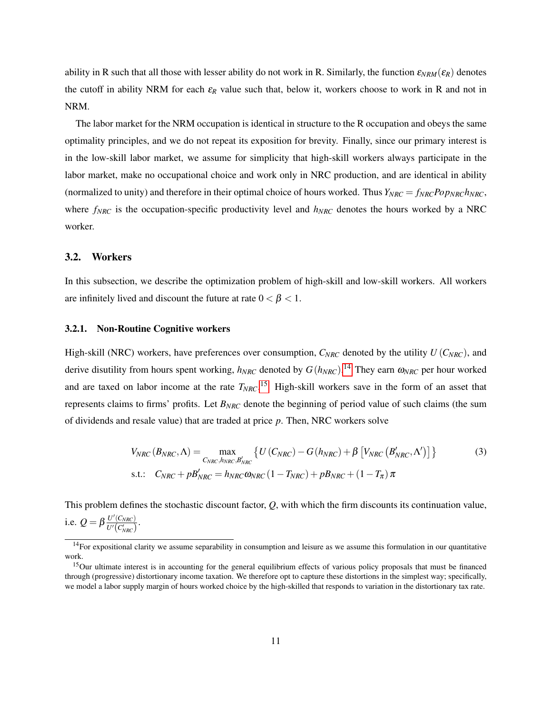ability in R such that all those with lesser ability do not work in R. Similarly, the function  $\varepsilon_{NRM}(\varepsilon_R)$  denotes the cutoff in ability NRM for each  $\varepsilon_R$  value such that, below it, workers choose to work in R and not in NRM.

The labor market for the NRM occupation is identical in structure to the R occupation and obeys the same optimality principles, and we do not repeat its exposition for brevity. Finally, since our primary interest is in the low-skill labor market, we assume for simplicity that high-skill workers always participate in the labor market, make no occupational choice and work only in NRC production, and are identical in ability (normalized to unity) and therefore in their optimal choice of hours worked. Thus  $Y_{NRC} = f_{NRC}Pop_{NRC}$ *h<sub>NRC</sub>*, where  $f_{NRC}$  is the occupation-specific productivity level and  $h_{NRC}$  denotes the hours worked by a NRC worker.

#### 3.2. Workers

In this subsection, we describe the optimization problem of high-skill and low-skill workers. All workers are infinitely lived and discount the future at rate  $0 < \beta < 1$ .

#### 3.2.1. Non-Routine Cognitive workers

High-skill (NRC) workers, have preferences over consumption,  $C_{NRC}$  denoted by the utility  $U(C_{NRC})$ , and derive disutility from hours spent working,  $h_{NRC}$  denoted by  $G(h_{NRC})$ .<sup>[14](#page-11-0)</sup> They earn  $\omega_{NRC}$  per hour worked and are taxed on labor income at the rate *TNRC*. [15](#page-11-1) High-skill workers save in the form of an asset that represents claims to firms' profits. Let *BNRC* denote the beginning of period value of such claims (the sum of dividends and resale value) that are traded at price *p*. Then, NRC workers solve

$$
V_{NRC}(B_{NRC}, \Lambda) = \max_{C_{NRC}, h_{NRC}, B'_{NRC}} \{ U (C_{NRC}) - G (h_{NRC}) + \beta \left[ V_{NRC} (B'_{NRC}, \Lambda') \right] \}
$$
(3)  
s.t.:  $C_{NRC} + pB'_{NRC} = h_{NRC} \omega_{NRC} (1 - T_{NRC}) + pB_{NRC} + (1 - T_{\pi}) \pi$ 

This problem defines the stochastic discount factor, *Q*, with which the firm discounts its continuation value,

i.e. 
$$
Q = \beta \frac{U'(C_{NRC})}{U'(C'_{NRC})}
$$
.

<span id="page-11-0"></span><sup>&</sup>lt;sup>14</sup>For expositional clarity we assume separability in consumption and leisure as we assume this formulation in our quantitative work.

<span id="page-11-1"></span><sup>&</sup>lt;sup>15</sup>Our ultimate interest is in accounting for the general equilibrium effects of various policy proposals that must be financed through (progressive) distortionary income taxation. We therefore opt to capture these distortions in the simplest way; specifically, we model a labor supply margin of hours worked choice by the high-skilled that responds to variation in the distortionary tax rate.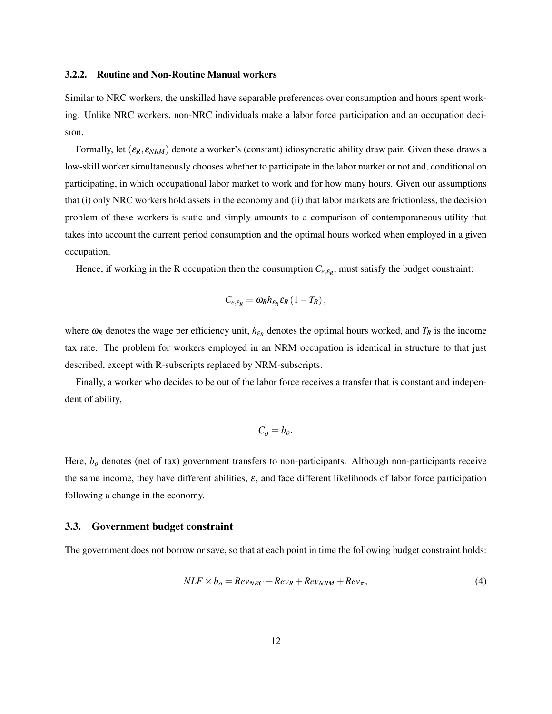#### 3.2.2. Routine and Non-Routine Manual workers

Similar to NRC workers, the unskilled have separable preferences over consumption and hours spent working. Unlike NRC workers, non-NRC individuals make a labor force participation and an occupation decision.

Formally, let  $(\varepsilon_R, \varepsilon_{NRM})$  denote a worker's (constant) idiosyncratic ability draw pair. Given these draws a low-skill worker simultaneously chooses whether to participate in the labor market or not and, conditional on participating, in which occupational labor market to work and for how many hours. Given our assumptions that (i) only NRC workers hold assets in the economy and (ii) that labor markets are frictionless, the decision problem of these workers is static and simply amounts to a comparison of contemporaneous utility that takes into account the current period consumption and the optimal hours worked when employed in a given occupation.

Hence, if working in the R occupation then the consumption  $C_{e, \varepsilon_R}$ , must satisfy the budget constraint:

$$
C_{e,\varepsilon_R} = \omega_R h_{\varepsilon_R} \varepsilon_R (1 - T_R),
$$

where  $\omega_R$  denotes the wage per efficiency unit,  $h_{\varepsilon_R}$  denotes the optimal hours worked, and  $T_R$  is the income tax rate. The problem for workers employed in an NRM occupation is identical in structure to that just described, except with R-subscripts replaced by NRM-subscripts.

Finally, a worker who decides to be out of the labor force receives a transfer that is constant and independent of ability,

$$
C_o=b_o.
$$

Here, *b<sup>o</sup>* denotes (net of tax) government transfers to non-participants. Although non-participants receive the same income, they have different abilities,  $\varepsilon$ , and face different likelihoods of labor force participation following a change in the economy.

#### 3.3. Government budget constraint

The government does not borrow or save, so that at each point in time the following budget constraint holds:

$$
NLF \times b_o = Rev_{NRC} + Rev_R + Rev_{NRM} + Rev_{\pi}, \tag{4}
$$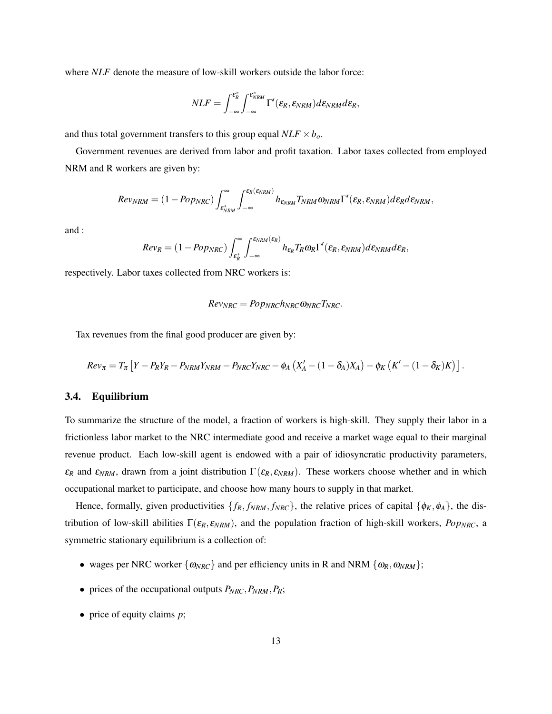where *NLF* denote the measure of low-skill workers outside the labor force:

$$
NLF = \int_{-\infty}^{\varepsilon_R^*} \int_{-\infty}^{\varepsilon_{NRM}^*} \Gamma'(\varepsilon_R, \varepsilon_{NRM}) d\varepsilon_{NRM} d\varepsilon_R,
$$

and thus total government transfers to this group equal  $NLF \times b_o$ .

Government revenues are derived from labor and profit taxation. Labor taxes collected from employed NRM and R workers are given by:

$$
Rev_{NRM} = (1 - Pop_{NRC}) \int_{\varepsilon_{NRM}^*}^{\infty} \int_{-\infty}^{\varepsilon_R(\varepsilon_{NRM})} h_{\varepsilon_{NRM}} T_{NRM} \omega_{NRM} \Gamma'(\varepsilon_R, \varepsilon_{NRM}) d\varepsilon_R d\varepsilon_{NRM},
$$

and :

$$
Rev_R = (1 - Pop_{NRC}) \int_{\varepsilon_R^*}^{\infty} \int_{-\infty}^{\varepsilon_{NRM}(\varepsilon_R)} h_{\varepsilon_R} T_R \omega_R \Gamma'(\varepsilon_R, \varepsilon_{NRM}) d\varepsilon_{NRM} d\varepsilon_R,
$$

respectively. Labor taxes collected from NRC workers is:

$$
Rev_{NRC} = Pop_{NRC} h_{NRC} \omega_{NRC} T_{NRC}.
$$

Tax revenues from the final good producer are given by:

$$
Rev_{\pi} = T_{\pi} \left[ Y - P_R Y_R - P_{NRM} Y_{NRM} - P_{NRC} Y_{NRC} - \phi_A \left( X'_A - (1 - \delta_A) X_A \right) - \phi_K \left( K' - (1 - \delta_K) K \right) \right].
$$

#### 3.4. Equilibrium

To summarize the structure of the model, a fraction of workers is high-skill. They supply their labor in a frictionless labor market to the NRC intermediate good and receive a market wage equal to their marginal revenue product. Each low-skill agent is endowed with a pair of idiosyncratic productivity parameters,  $\varepsilon_R$  and  $\varepsilon_{NRM}$ , drawn from a joint distribution  $\Gamma(\varepsilon_R, \varepsilon_{NRM})$ . These workers choose whether and in which occupational market to participate, and choose how many hours to supply in that market.

Hence, formally, given productivities  $\{f_R, f_{NRM}, f_{NRC}\}$ , the relative prices of capital  $\{\phi_K, \phi_A\}$ , the distribution of low-skill abilities  $\Gamma(\varepsilon_R, \varepsilon_{NRM})$ , and the population fraction of high-skill workers, *Pop<sub>NRC</sub>*, a symmetric stationary equilibrium is a collection of:

- wages per NRC worker  $\{\omega_{NRC}\}$  and per efficiency units in R and NRM  $\{\omega_R, \omega_{NRM}\}\;$ ;
- prices of the occupational outputs  $P_{NRC}, P_{NRM}, P_R$ ;
- price of equity claims *p*;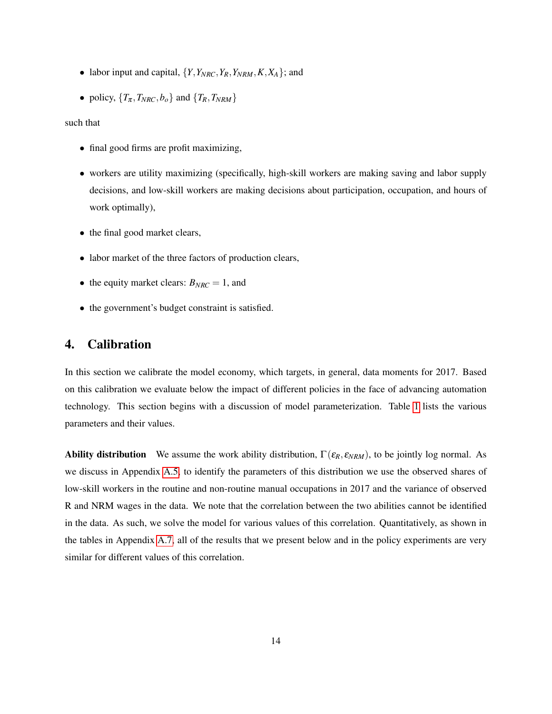- labor input and capital,  $\{Y, Y_{NRC}, Y_R, Y_{NRM}, K, X_A\}$ ; and
- policy,  $\{T_{\pi}, T_{NRC}, b_o\}$  and  $\{T_R, T_{NRM}\}$

such that

- final good firms are profit maximizing,
- workers are utility maximizing (specifically, high-skill workers are making saving and labor supply decisions, and low-skill workers are making decisions about participation, occupation, and hours of work optimally),
- the final good market clears,
- labor market of the three factors of production clears,
- the equity market clears:  $B_{NRC} = 1$ , and
- the government's budget constraint is satisfied.

## <span id="page-14-0"></span>4. Calibration

In this section we calibrate the model economy, which targets, in general, data moments for 2017. Based on this calibration we evaluate below the impact of different policies in the face of advancing automation technology. This section begins with a discussion of model parameterization. Table [1](#page-15-0) lists the various parameters and their values.

**Ability distribution** We assume the work ability distribution,  $\Gamma(\varepsilon_R, \varepsilon_{NRM})$ , to be jointly log normal. As we discuss in Appendix [A.5,](#page-36-0) to identify the parameters of this distribution we use the observed shares of low-skill workers in the routine and non-routine manual occupations in 2017 and the variance of observed R and NRM wages in the data. We note that the correlation between the two abilities cannot be identified in the data. As such, we solve the model for various values of this correlation. Quantitatively, as shown in the tables in Appendix [A.7,](#page-38-0) all of the results that we present below and in the policy experiments are very similar for different values of this correlation.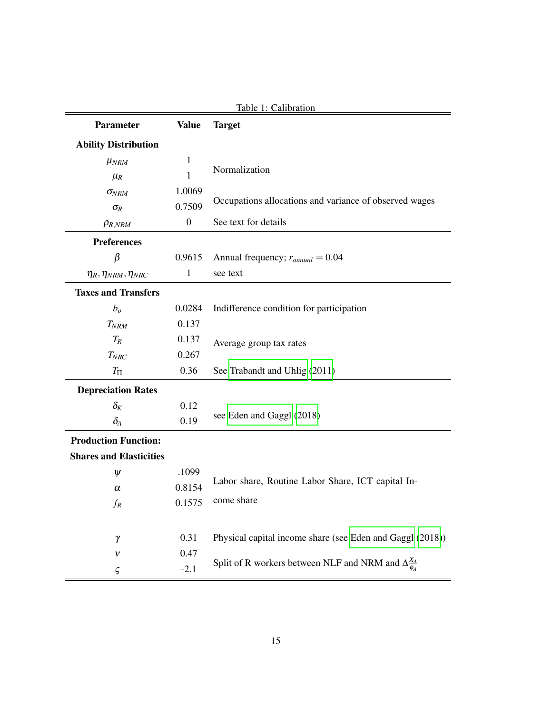| <b>Parameter</b>                 | <b>Value</b>     | <b>Target</b>                                                          |  |
|----------------------------------|------------------|------------------------------------------------------------------------|--|
| <b>Ability Distribution</b>      |                  |                                                                        |  |
| $\mu_{NRM}$                      | 1                |                                                                        |  |
| $\mu_R$                          | 1                | Normalization                                                          |  |
| $\sigma_{NRM}$                   | 1.0069           |                                                                        |  |
| $\sigma_R$                       | 0.7509           | Occupations allocations and variance of observed wages                 |  |
| $\rho_{R,NRM}$                   | $\boldsymbol{0}$ | See text for details                                                   |  |
| <b>Preferences</b>               |                  |                                                                        |  |
| $\beta$                          | 0.9615           | Annual frequency; $r_{annual} = 0.04$                                  |  |
| $\eta_R, \eta_{NRM}, \eta_{NRC}$ | $\mathbf{1}$     | see text                                                               |  |
| <b>Taxes and Transfers</b>       |                  |                                                                        |  |
| $b_o$                            | 0.0284           | Indifference condition for participation                               |  |
| $T_{NRM}$                        | 0.137            |                                                                        |  |
| $T_R$                            | 0.137            | Average group tax rates                                                |  |
| $T_{NRC}$                        | 0.267            |                                                                        |  |
| $T_{\Pi}$                        | 0.36             | See Trabandt and Uhlig (2011)                                          |  |
| <b>Depreciation Rates</b>        |                  |                                                                        |  |
| $\delta_K$                       | 0.12             |                                                                        |  |
| $\delta_A$                       | 0.19             | see Eden and Gaggl (2018)                                              |  |
| <b>Production Function:</b>      |                  |                                                                        |  |
| <b>Shares and Elasticities</b>   |                  |                                                                        |  |
| $\Psi$                           | .1099            |                                                                        |  |
| $\alpha$                         | 0.8154           | Labor share, Routine Labor Share, ICT capital In-                      |  |
| $f_R$                            | 0.1575           | come share                                                             |  |
|                                  |                  |                                                                        |  |
| γ                                | 0.31             | Physical capital income share (see Eden and Gaggl (2018))              |  |
| $\mathcal V$                     | 0.47             |                                                                        |  |
| ς                                | $-2.1$           | Split of R workers between NLF and NRM and $\Delta \frac{X_A}{\phi_A}$ |  |

<span id="page-15-0"></span>Table 1: Calibration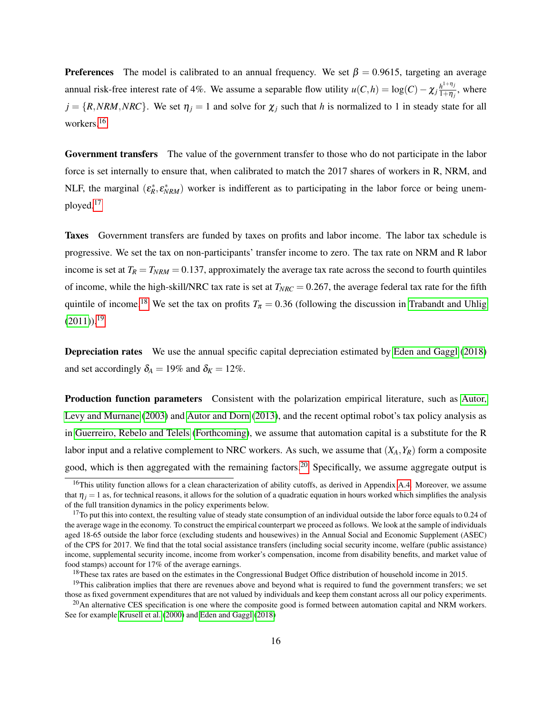**Preferences** The model is calibrated to an annual frequency. We set  $\beta = 0.9615$ , targeting an average annual risk-free interest rate of 4%. We assume a separable flow utility  $u(C, h) = \log(C) - \chi_j \frac{h^{1+\eta_j}}{1+n}$  $\frac{h}{1+\eta_j}$ , where  $j = \{R, NRM, NRC\}$ . We set  $\eta_j = 1$  and solve for  $\chi_j$  such that *h* is normalized to 1 in steady state for all workers.<sup>[16](#page-16-0)</sup>

Government transfers The value of the government transfer to those who do not participate in the labor force is set internally to ensure that, when calibrated to match the 2017 shares of workers in R, NRM, and NLF, the marginal  $(\varepsilon_R^*, \varepsilon_{NRM}^*)$  worker is indifferent as to participating in the labor force or being unemployed.[17](#page-16-1)

Taxes Government transfers are funded by taxes on profits and labor income. The labor tax schedule is progressive. We set the tax on non-participants' transfer income to zero. The tax rate on NRM and R labor income is set at  $T_R = T_{NRM} = 0.137$ , approximately the average tax rate across the second to fourth quintiles of income, while the high-skill/NRC tax rate is set at  $T_{NRC} = 0.267$ , the average federal tax rate for the fifth quintile of income.<sup>[18](#page-16-2)</sup> We set the tax on profits  $T_{\pi} = 0.36$  (following the discussion in [Trabandt and Uhlig](#page-31-4)  $(2011)$ <sup>[19](#page-16-3)</sup>

Depreciation rates We use the annual specific capital depreciation estimated by [Eden and Gaggl](#page-30-2) [\(2018\)](#page-30-2) and set accordingly  $\delta_A = 19\%$  and  $\delta_K = 12\%$ .

Production function parameters Consistent with the polarization empirical literature, such as [Autor,](#page-29-2) [Levy and Murnane](#page-29-2) [\(2003\)](#page-29-2) and [Autor and Dorn](#page-29-3) [\(2013\)](#page-29-3), and the recent optimal robot's tax policy analysis as in [Guerreiro, Rebelo and Telels](#page-30-9) [\(Forthcoming\)](#page-30-9), we assume that automation capital is a substitute for the R labor input and a relative complement to NRC workers. As such, we assume that  $(X_A, Y_R)$  form a composite good, which is then aggregated with the remaining factors.<sup>[20](#page-16-4)</sup> Specifically, we assume aggregate output is

<span id="page-16-0"></span><sup>&</sup>lt;sup>16</sup>This utility function allows for a clean characterization of ability cutoffs, as derived in Appendix [A.4.](#page-34-0) Moreover, we assume that  $\eta_j = 1$  as, for technical reasons, it allows for the solution of a quadratic equation in hours worked which simplifies the analysis of the full transition dynamics in the policy experiments below.

<span id="page-16-1"></span><sup>&</sup>lt;sup>17</sup>To put this into context, the resulting value of steady state consumption of an individual outside the labor force equals to 0.24 of the average wage in the economy. To construct the empirical counterpart we proceed as follows. We look at the sample of individuals aged 18-65 outside the labor force (excluding students and housewives) in the Annual Social and Economic Supplement (ASEC) of the CPS for 2017. We find that the total social assistance transfers (including social security income, welfare (public assistance) income, supplemental security income, income from worker's compensation, income from disability benefits, and market value of food stamps) account for 17% of the average earnings.

<span id="page-16-3"></span><span id="page-16-2"></span><sup>&</sup>lt;sup>18</sup>These tax rates are based on the estimates in the Congressional Budget Office distribution of household income in 2015.

<sup>&</sup>lt;sup>19</sup>This calibration implies that there are revenues above and beyond what is required to fund the government transfers; we set those as fixed government expenditures that are not valued by individuals and keep them constant across all our policy experiments.

<span id="page-16-4"></span> $^{20}$ An alternative CES specification is one where the composite good is formed between automation capital and NRM workers. See for example [Krusell et al.](#page-30-10) [\(2000\)](#page-30-10) and [Eden and Gaggl](#page-30-2) [\(2018\)](#page-30-2)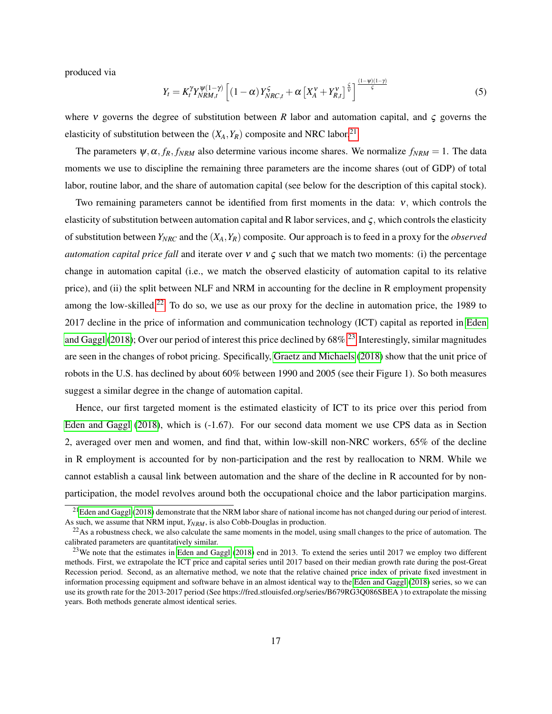produced via

$$
Y_t = K_t^{\gamma} Y_{NRM,t}^{\psi(1-\gamma)} \left[ (1-\alpha) Y_{NRC,t}^{\varsigma} + \alpha \left[ X_A^{\gamma} + Y_{R,t}^{\gamma} \right]^\frac{\varsigma}{\varsigma} \right]^{\frac{(1-\psi)(1-\gamma)}{\varsigma}}
$$
(5)

where v governs the degree of substitution between  $R$  labor and automation capital, and  $\zeta$  governs the elasticity of substitution between the  $(X_A, Y_R)$  composite and NRC labor.<sup>[21](#page-17-0)</sup>

The parameters  $\psi$ ,  $\alpha$ ,  $f_R$ ,  $f_{NRM}$  also determine various income shares. We normalize  $f_{NRM} = 1$ . The data moments we use to discipline the remaining three parameters are the income shares (out of GDP) of total labor, routine labor, and the share of automation capital (see below for the description of this capital stock).

Two remaining parameters cannot be identified from first moments in the data: ν, which controls the elasticity of substitution between automation capital and R labor services, and  $\zeta$ , which controls the elasticity of substitution between *YNRC* and the (*XA*,*YR*) composite. Our approach is to feed in a proxy for the *observed automation capital price fall* and iterate over  $v$  and  $\varsigma$  such that we match two moments: (i) the percentage change in automation capital (i.e., we match the observed elasticity of automation capital to its relative price), and (ii) the split between NLF and NRM in accounting for the decline in R employment propensity among the low-skilled.<sup>[22](#page-17-1)</sup> To do so, we use as our proxy for the decline in automation price, the 1989 to 2017 decline in the price of information and communication technology (ICT) capital as reported in [Eden](#page-30-2) [and Gaggl](#page-30-2) [\(2018\)](#page-30-2); Over our period of interest this price declined by  $68\%$ <sup>[23](#page-17-2)</sup> Interestingly, similar magnitudes are seen in the changes of robot pricing. Specifically, [Graetz and Michaels](#page-30-4) [\(2018\)](#page-30-4) show that the unit price of robots in the U.S. has declined by about 60% between 1990 and 2005 (see their Figure 1). So both measures suggest a similar degree in the change of automation capital.

Hence, our first targeted moment is the estimated elasticity of ICT to its price over this period from [Eden and Gaggl](#page-30-2) [\(2018\)](#page-30-2), which is (-1.67). For our second data moment we use CPS data as in Section 2, averaged over men and women, and find that, within low-skill non-NRC workers, 65% of the decline in R employment is accounted for by non-participation and the rest by reallocation to NRM. While we cannot establish a causal link between automation and the share of the decline in R accounted for by nonparticipation, the model revolves around both the occupational choice and the labor participation margins.

<span id="page-17-0"></span> $21$  [Eden and Gaggl](#page-30-2) [\(2018\)](#page-30-2) demonstrate that the NRM labor share of national income has not changed during our period of interest. As such, we assume that NRM input,  $Y_{NRM}$ , is also Cobb-Douglas in production.

<span id="page-17-1"></span> $22$ As a robustness check, we also calculate the same moments in the model, using small changes to the price of automation. The calibrated parameters are quantitatively similar.

<span id="page-17-2"></span><sup>&</sup>lt;sup>23</sup>We note that the estimates in [Eden and Gaggl](#page-30-2) [\(2018\)](#page-30-2) end in 2013. To extend the series until 2017 we employ two different methods. First, we extrapolate the ICT price and capital series until 2017 based on their median growth rate during the post-Great Recession period. Second, as an alternative method, we note that the relative chained price index of private fixed investment in information processing equipment and software behave in an almost identical way to the [Eden and Gaggl](#page-30-2) [\(2018\)](#page-30-2) series, so we can use its growth rate for the 2013-2017 period (See https://fred.stlouisfed.org/series/B679RG3Q086SBEA ) to extrapolate the missing years. Both methods generate almost identical series.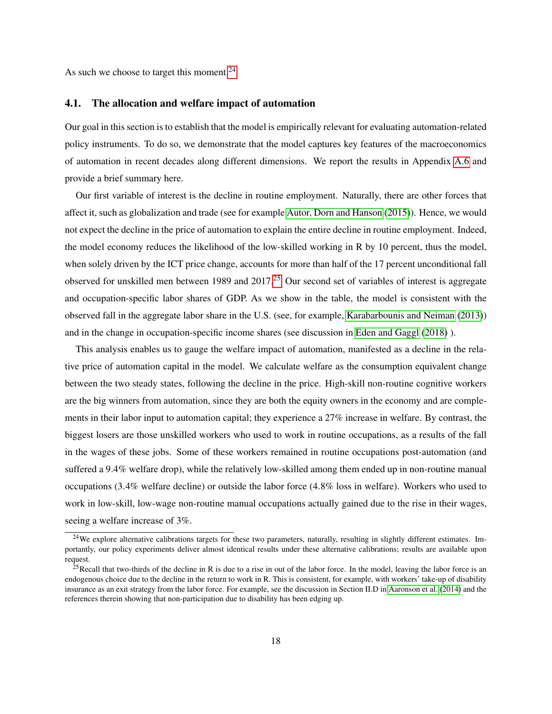As such we choose to target this moment.<sup>[24](#page-18-1)</sup>

#### 4.1. The allocation and welfare impact of automation

Our goal in this section is to establish that the model is empirically relevant for evaluating automation-related policy instruments. To do so, we demonstrate that the model captures key features of the macroeconomics of automation in recent decades along different dimensions. We report the results in Appendix [A.6](#page-37-0) and provide a brief summary here.

Our first variable of interest is the decline in routine employment. Naturally, there are other forces that affect it, such as globalization and trade (see for example [Autor, Dorn and Hanson](#page-29-9) [\(2015\)](#page-29-9)). Hence, we would not expect the decline in the price of automation to explain the entire decline in routine employment. Indeed, the model economy reduces the likelihood of the low-skilled working in R by 10 percent, thus the model, when solely driven by the ICT price change, accounts for more than half of the 17 percent unconditional fall observed for unskilled men between 1989 and  $2017<sup>25</sup>$  $2017<sup>25</sup>$  $2017<sup>25</sup>$  Our second set of variables of interest is aggregate and occupation-specific labor shares of GDP. As we show in the table, the model is consistent with the observed fall in the aggregate labor share in the U.S. (see, for example, [Karabarbounis and Neiman](#page-30-11) [\(2013\)](#page-30-11)) and in the change in occupation-specific income shares (see discussion in [Eden and Gaggl](#page-30-2) [\(2018\)](#page-30-2) ).

This analysis enables us to gauge the welfare impact of automation, manifested as a decline in the relative price of automation capital in the model. We calculate welfare as the consumption equivalent change between the two steady states, following the decline in the price. High-skill non-routine cognitive workers are the big winners from automation, since they are both the equity owners in the economy and are complements in their labor input to automation capital; they experience a 27% increase in welfare. By contrast, the biggest losers are those unskilled workers who used to work in routine occupations, as a results of the fall in the wages of these jobs. Some of these workers remained in routine occupations post-automation (and suffered a 9.4% welfare drop), while the relatively low-skilled among them ended up in non-routine manual occupations (3.4% welfare decline) or outside the labor force (4.8% loss in welfare). Workers who used to work in low-skill, low-wage non-routine manual occupations actually gained due to the rise in their wages, seeing a welfare increase of 3%.

<span id="page-18-1"></span><span id="page-18-0"></span><sup>&</sup>lt;sup>24</sup>We explore alternative calibrations targets for these two parameters, naturally, resulting in slightly different estimates. Importantly, our policy experiments deliver almost identical results under these alternative calibrations; results are available upon request.

<span id="page-18-2"></span><sup>&</sup>lt;sup>25</sup>Recall that two-thirds of the decline in R is due to a rise in out of the labor force. In the model, leaving the labor force is an endogenous choice due to the decline in the return to work in R. This is consistent, for example, with workers' take-up of disability insurance as an exit strategy from the labor force. For example, see the discussion in Section II.D in [Aaronson et al.](#page-29-10) [\(2014\)](#page-29-10) and the references therein showing that non-participation due to disability has been edging up.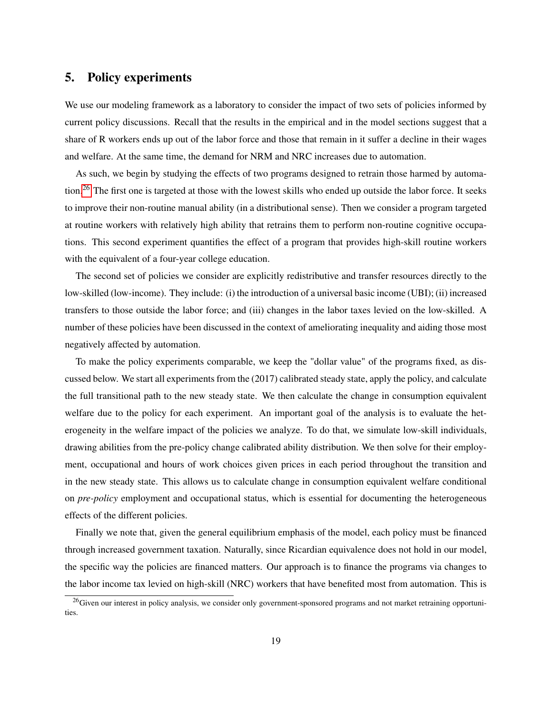## 5. Policy experiments

We use our modeling framework as a laboratory to consider the impact of two sets of policies informed by current policy discussions. Recall that the results in the empirical and in the model sections suggest that a share of R workers ends up out of the labor force and those that remain in it suffer a decline in their wages and welfare. At the same time, the demand for NRM and NRC increases due to automation.

As such, we begin by studying the effects of two programs designed to retrain those harmed by automa-tion.<sup>[26](#page-19-0)</sup> The first one is targeted at those with the lowest skills who ended up outside the labor force. It seeks to improve their non-routine manual ability (in a distributional sense). Then we consider a program targeted at routine workers with relatively high ability that retrains them to perform non-routine cognitive occupations. This second experiment quantifies the effect of a program that provides high-skill routine workers with the equivalent of a four-year college education.

The second set of policies we consider are explicitly redistributive and transfer resources directly to the low-skilled (low-income). They include: (i) the introduction of a universal basic income (UBI); (ii) increased transfers to those outside the labor force; and (iii) changes in the labor taxes levied on the low-skilled. A number of these policies have been discussed in the context of ameliorating inequality and aiding those most negatively affected by automation.

To make the policy experiments comparable, we keep the "dollar value" of the programs fixed, as discussed below. We start all experiments from the (2017) calibrated steady state, apply the policy, and calculate the full transitional path to the new steady state. We then calculate the change in consumption equivalent welfare due to the policy for each experiment. An important goal of the analysis is to evaluate the heterogeneity in the welfare impact of the policies we analyze. To do that, we simulate low-skill individuals, drawing abilities from the pre-policy change calibrated ability distribution. We then solve for their employment, occupational and hours of work choices given prices in each period throughout the transition and in the new steady state. This allows us to calculate change in consumption equivalent welfare conditional on *pre-policy* employment and occupational status, which is essential for documenting the heterogeneous effects of the different policies.

Finally we note that, given the general equilibrium emphasis of the model, each policy must be financed through increased government taxation. Naturally, since Ricardian equivalence does not hold in our model, the specific way the policies are financed matters. Our approach is to finance the programs via changes to the labor income tax levied on high-skill (NRC) workers that have benefited most from automation. This is

<span id="page-19-0"></span><sup>&</sup>lt;sup>26</sup>Given our interest in policy analysis, we consider only government-sponsored programs and not market retraining opportunities.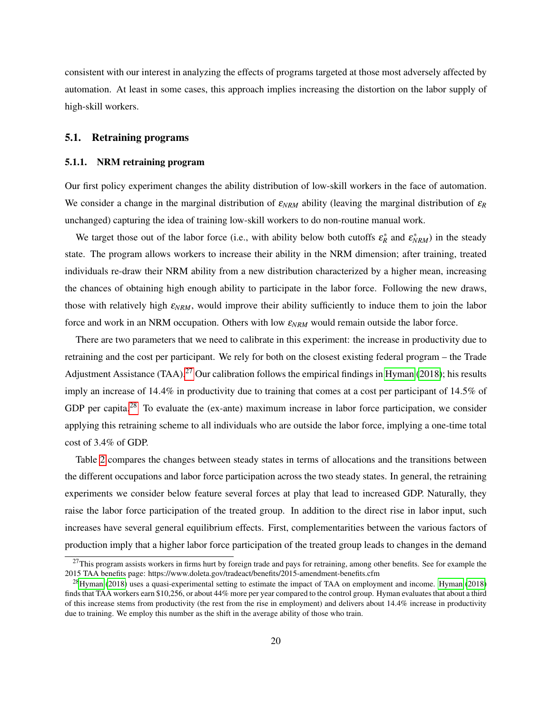consistent with our interest in analyzing the effects of programs targeted at those most adversely affected by automation. At least in some cases, this approach implies increasing the distortion on the labor supply of high-skill workers.

#### 5.1. Retraining programs

#### 5.1.1. NRM retraining program

Our first policy experiment changes the ability distribution of low-skill workers in the face of automation. We consider a change in the marginal distribution of ε*NRM* ability (leaving the marginal distribution of ε*<sup>R</sup>* unchanged) capturing the idea of training low-skill workers to do non-routine manual work.

We target those out of the labor force (i.e., with ability below both cutoffs  $\varepsilon_R^*$  and  $\varepsilon_{NRM}^*$ ) in the steady state. The program allows workers to increase their ability in the NRM dimension; after training, treated individuals re-draw their NRM ability from a new distribution characterized by a higher mean, increasing the chances of obtaining high enough ability to participate in the labor force. Following the new draws, those with relatively high  $\varepsilon_{NRM}$ , would improve their ability sufficiently to induce them to join the labor force and work in an NRM occupation. Others with low  $\varepsilon_{NRM}$  would remain outside the labor force.

There are two parameters that we need to calibrate in this experiment: the increase in productivity due to retraining and the cost per participant. We rely for both on the closest existing federal program – the Trade Adjustment Assistance (TAA).<sup>[27](#page-20-0)</sup> Our calibration follows the empirical findings in [Hyman](#page-30-12) [\(2018\)](#page-30-12); his results imply an increase of 14.4% in productivity due to training that comes at a cost per participant of 14.5% of GDP per capita.<sup>[28](#page-20-1)</sup> To evaluate the (ex-ante) maximum increase in labor force participation, we consider applying this retraining scheme to all individuals who are outside the labor force, implying a one-time total cost of 3.4% of GDP.

Table [2](#page-25-0) compares the changes between steady states in terms of allocations and the transitions between the different occupations and labor force participation across the two steady states. In general, the retraining experiments we consider below feature several forces at play that lead to increased GDP. Naturally, they raise the labor force participation of the treated group. In addition to the direct rise in labor input, such increases have several general equilibrium effects. First, complementarities between the various factors of production imply that a higher labor force participation of the treated group leads to changes in the demand

<span id="page-20-0"></span> $^{27}$ This program assists workers in firms hurt by foreign trade and pays for retraining, among other benefits. See for example the 2015 TAA benefits page: https://www.doleta.gov/tradeact/benefits/2015-amendment-benefits.cfm

<span id="page-20-1"></span><sup>&</sup>lt;sup>28</sup>[Hyman](#page-30-12) [\(2018\)](#page-30-12) uses a quasi-experimental setting to estimate the impact of TAA on employment and income. [Hyman](#page-30-12) (2018) finds that TAA workers earn \$10,256, or about 44% more per year compared to the control group. Hyman evaluates that about a third of this increase stems from productivity (the rest from the rise in employment) and delivers about 14.4% increase in productivity due to training. We employ this number as the shift in the average ability of those who train.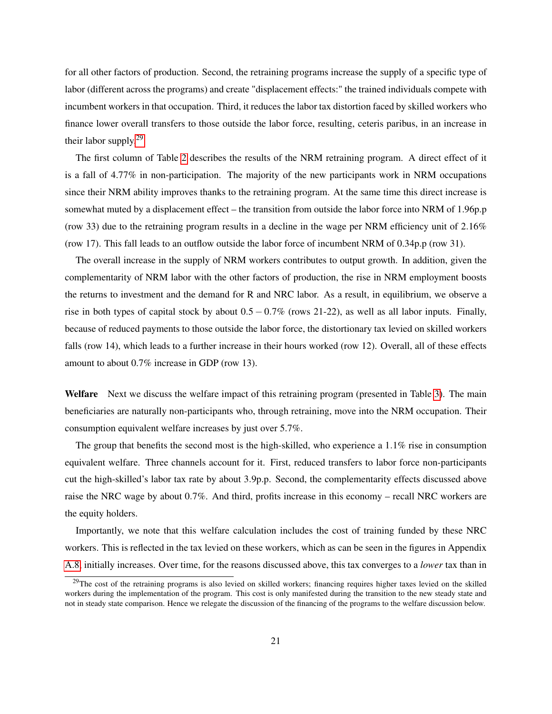for all other factors of production. Second, the retraining programs increase the supply of a specific type of labor (different across the programs) and create "displacement effects:" the trained individuals compete with incumbent workers in that occupation. Third, it reduces the labor tax distortion faced by skilled workers who finance lower overall transfers to those outside the labor force, resulting, ceteris paribus, in an increase in their labor supply.[29](#page-21-0)

The first column of Table [2](#page-25-0) describes the results of the NRM retraining program. A direct effect of it is a fall of 4.77% in non-participation. The majority of the new participants work in NRM occupations since their NRM ability improves thanks to the retraining program. At the same time this direct increase is somewhat muted by a displacement effect – the transition from outside the labor force into NRM of 1.96p.p (row 33) due to the retraining program results in a decline in the wage per NRM efficiency unit of 2.16% (row 17). This fall leads to an outflow outside the labor force of incumbent NRM of 0.34p.p (row 31).

The overall increase in the supply of NRM workers contributes to output growth. In addition, given the complementarity of NRM labor with the other factors of production, the rise in NRM employment boosts the returns to investment and the demand for R and NRC labor. As a result, in equilibrium, we observe a rise in both types of capital stock by about  $0.5 - 0.7\%$  (rows 21-22), as well as all labor inputs. Finally, because of reduced payments to those outside the labor force, the distortionary tax levied on skilled workers falls (row 14), which leads to a further increase in their hours worked (row 12). Overall, all of these effects amount to about 0.7% increase in GDP (row 13).

Welfare Next we discuss the welfare impact of this retraining program (presented in Table [3\)](#page-24-0). The main beneficiaries are naturally non-participants who, through retraining, move into the NRM occupation. Their consumption equivalent welfare increases by just over 5.7%.

The group that benefits the second most is the high-skilled, who experience a 1.1% rise in consumption equivalent welfare. Three channels account for it. First, reduced transfers to labor force non-participants cut the high-skilled's labor tax rate by about 3.9p.p. Second, the complementarity effects discussed above raise the NRC wage by about 0.7%. And third, profits increase in this economy – recall NRC workers are the equity holders.

Importantly, we note that this welfare calculation includes the cost of training funded by these NRC workers. This is reflected in the tax levied on these workers, which as can be seen in the figures in Appendix [A.8,](#page-39-0) initially increases. Over time, for the reasons discussed above, this tax converges to a *lower* tax than in

<span id="page-21-0"></span> $29$ The cost of the retraining programs is also levied on skilled workers; financing requires higher taxes levied on the skilled workers during the implementation of the program. This cost is only manifested during the transition to the new steady state and not in steady state comparison. Hence we relegate the discussion of the financing of the programs to the welfare discussion below.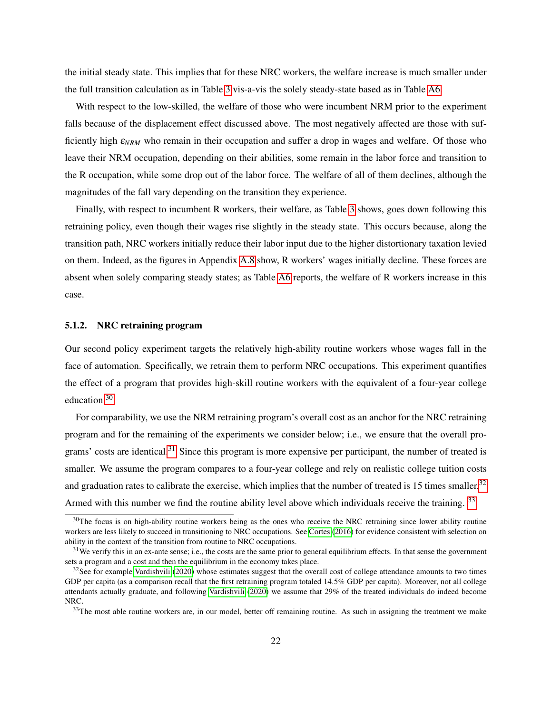the initial steady state. This implies that for these NRC workers, the welfare increase is much smaller under the full transition calculation as in Table [3](#page-24-0) vis-a-vis the solely steady-state based as in Table [A6.](#page-45-0)

With respect to the low-skilled, the welfare of those who were incumbent NRM prior to the experiment falls because of the displacement effect discussed above. The most negatively affected are those with sufficiently high  $\varepsilon_{NRM}$  who remain in their occupation and suffer a drop in wages and welfare. Of those who leave their NRM occupation, depending on their abilities, some remain in the labor force and transition to the R occupation, while some drop out of the labor force. The welfare of all of them declines, although the magnitudes of the fall vary depending on the transition they experience.

Finally, with respect to incumbent R workers, their welfare, as Table [3](#page-24-0) shows, goes down following this retraining policy, even though their wages rise slightly in the steady state. This occurs because, along the transition path, NRC workers initially reduce their labor input due to the higher distortionary taxation levied on them. Indeed, as the figures in Appendix [A.8](#page-39-0) show, R workers' wages initially decline. These forces are absent when solely comparing steady states; as Table [A6](#page-45-0) reports, the welfare of R workers increase in this case.

#### 5.1.2. NRC retraining program

Our second policy experiment targets the relatively high-ability routine workers whose wages fall in the face of automation. Specifically, we retrain them to perform NRC occupations. This experiment quantifies the effect of a program that provides high-skill routine workers with the equivalent of a four-year college education.[30](#page-22-0)

For comparability, we use the NRM retraining program's overall cost as an anchor for the NRC retraining program and for the remaining of the experiments we consider below; i.e., we ensure that the overall pro-grams' costs are identical.<sup>[31](#page-22-1)</sup> Since this program is more expensive per participant, the number of treated is smaller. We assume the program compares to a four-year college and rely on realistic college tuition costs and graduation rates to calibrate the exercise, which implies that the number of treated is 15 times smaller.<sup>[32](#page-22-2)</sup> Armed with this number we find the routine ability level above which individuals receive the training. <sup>[33](#page-22-3)</sup>

<span id="page-22-0"></span> $30$ The focus is on high-ability routine workers being as the ones who receive the NRC retraining since lower ability routine workers are less likely to succeed in transitioning to NRC occupations. See [Cortes](#page-30-6) [\(2016\)](#page-30-6) for evidence consistent with selection on ability in the context of the transition from routine to NRC occupations.

<span id="page-22-1"></span> $31$ We verify this in an ex-ante sense; i.e., the costs are the same prior to general equilibrium effects. In that sense the government sets a program and a cost and then the equilibrium in the economy takes place.

<span id="page-22-2"></span> $32$ See for example [Vardishvili](#page-31-5) [\(2020\)](#page-31-5) whose estimates suggest that the overall cost of college attendance amounts to two times GDP per capita (as a comparison recall that the first retraining program totaled 14.5% GDP per capita). Moreover, not all college attendants actually graduate, and following [Vardishvili](#page-31-5) [\(2020\)](#page-31-5) we assume that 29% of the treated individuals do indeed become NRC.

<span id="page-22-3"></span> $33$ The most able routine workers are, in our model, better off remaining routine. As such in assigning the treatment we make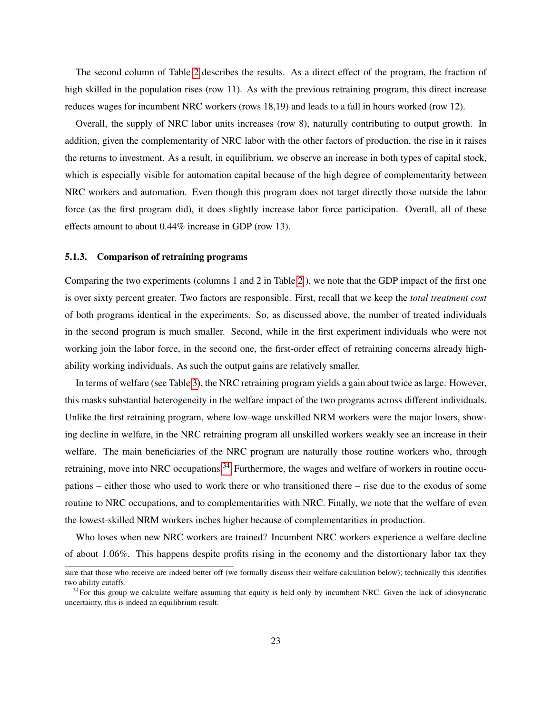The second column of Table [2](#page-25-0) describes the results. As a direct effect of the program, the fraction of high skilled in the population rises (row 11). As with the previous retraining program, this direct increase reduces wages for incumbent NRC workers (rows 18,19) and leads to a fall in hours worked (row 12).

Overall, the supply of NRC labor units increases (row 8), naturally contributing to output growth. In addition, given the complementarity of NRC labor with the other factors of production, the rise in it raises the returns to investment. As a result, in equilibrium, we observe an increase in both types of capital stock, which is especially visible for automation capital because of the high degree of complementarity between NRC workers and automation. Even though this program does not target directly those outside the labor force (as the first program did), it does slightly increase labor force participation. Overall, all of these effects amount to about 0.44% increase in GDP (row 13).

#### 5.1.3. Comparison of retraining programs

Comparing the two experiments (columns 1 and 2 in Table [2](#page-25-0) ), we note that the GDP impact of the first one is over sixty percent greater. Two factors are responsible. First, recall that we keep the *total treatment cost* of both programs identical in the experiments. So, as discussed above, the number of treated individuals in the second program is much smaller. Second, while in the first experiment individuals who were not working join the labor force, in the second one, the first-order effect of retraining concerns already highability working individuals. As such the output gains are relatively smaller.

In terms of welfare (see Table [3\)](#page-24-0), the NRC retraining program yields a gain about twice as large. However, this masks substantial heterogeneity in the welfare impact of the two programs across different individuals. Unlike the first retraining program, where low-wage unskilled NRM workers were the major losers, showing decline in welfare, in the NRC retraining program all unskilled workers weakly see an increase in their welfare. The main beneficiaries of the NRC program are naturally those routine workers who, through retraining, move into NRC occupations.<sup>[34](#page-23-0)</sup> Furthermore, the wages and welfare of workers in routine occupations – either those who used to work there or who transitioned there – rise due to the exodus of some routine to NRC occupations, and to complementarities with NRC. Finally, we note that the welfare of even the lowest-skilled NRM workers inches higher because of complementarities in production.

Who loses when new NRC workers are trained? Incumbent NRC workers experience a welfare decline of about 1.06%. This happens despite profits rising in the economy and the distortionary labor tax they

sure that those who receive are indeed better off (we formally discuss their welfare calculation below); technically this identifies two ability cutoffs.

<span id="page-23-0"></span><sup>&</sup>lt;sup>34</sup>For this group we calculate welfare assuming that equity is held only by incumbent NRC. Given the lack of idiosyncratic uncertainty, this is indeed an equilibrium result.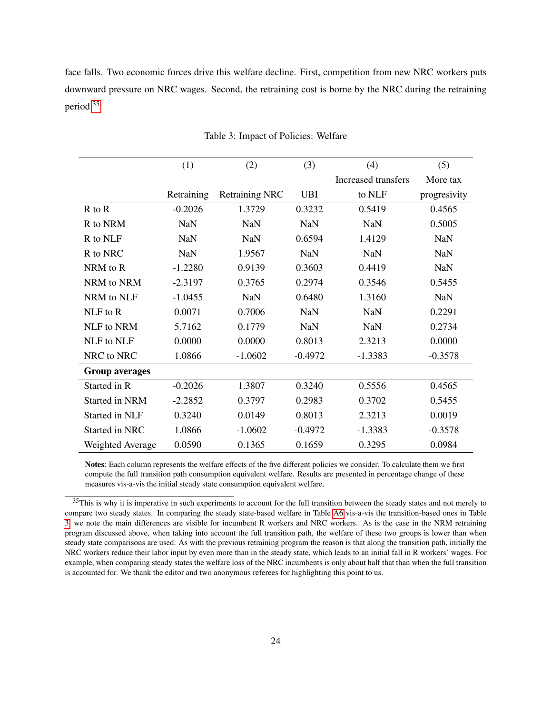face falls. Two economic forces drive this welfare decline. First, competition from new NRC workers puts downward pressure on NRC wages. Second, the retraining cost is borne by the NRC during the retraining period.[35](#page-24-1)

|                       | (1)        | (2)                   | (3)        | (4)                 | (5)          |
|-----------------------|------------|-----------------------|------------|---------------------|--------------|
|                       |            |                       |            | Increased transfers | More tax     |
|                       | Retraining | <b>Retraining NRC</b> | <b>UBI</b> | to NLF              | progresivity |
| $R$ to $R$            | $-0.2026$  | 1.3729                | 0.3232     | 0.5419              | 0.4565       |
| R to NRM              | <b>NaN</b> | <b>NaN</b>            | <b>NaN</b> | <b>NaN</b>          | 0.5005       |
| R to NLF              | <b>NaN</b> | <b>NaN</b>            | 0.6594     | 1.4129              | <b>NaN</b>   |
| R to NRC              | <b>NaN</b> | 1.9567                | <b>NaN</b> | <b>NaN</b>          | <b>NaN</b>   |
| NRM to R              | $-1.2280$  | 0.9139                | 0.3603     | 0.4419              | <b>NaN</b>   |
| NRM to NRM            | $-2.3197$  | 0.3765                | 0.2974     | 0.3546              | 0.5455       |
| NRM to NLF            | $-1.0455$  | <b>NaN</b>            | 0.6480     | 1.3160              | <b>NaN</b>   |
| $NLF$ to R            | 0.0071     | 0.7006                | <b>NaN</b> | <b>NaN</b>          | 0.2291       |
| NLF to NRM            | 5.7162     | 0.1779                | <b>NaN</b> | <b>NaN</b>          | 0.2734       |
| NLF to NLF            | 0.0000     | 0.0000                | 0.8013     | 2.3213              | 0.0000       |
| NRC to NRC            | 1.0866     | $-1.0602$             | $-0.4972$  | $-1.3383$           | $-0.3578$    |
| <b>Group averages</b> |            |                       |            |                     |              |
| Started in R          | $-0.2026$  | 1.3807                | 0.3240     | 0.5556              | 0.4565       |
| <b>Started in NRM</b> | $-2.2852$  | 0.3797                | 0.2983     | 0.3702              | 0.5455       |
| Started in NLF        | 0.3240     | 0.0149                | 0.8013     | 2.3213              | 0.0019       |
| <b>Started in NRC</b> | 1.0866     | $-1.0602$             | $-0.4972$  | $-1.3383$           | $-0.3578$    |
| Weighted Average      | 0.0590     | 0.1365                | 0.1659     | 0.3295              | 0.0984       |

<span id="page-24-0"></span>Table 3: Impact of Policies: Welfare

Notes: Each column represents the welfare effects of the five different policies we consider. To calculate them we first compute the full transition path consumption equivalent welfare. Results are presented in percentage change of these measures vis-a-vis the initial steady state consumption equivalent welfare.

<span id="page-24-1"></span><sup>&</sup>lt;sup>35</sup>This is why it is imperative in such experiments to account for the full transition between the steady states and not merely to compare two steady states. In comparing the steady state-based welfare in Table [A6](#page-45-0) vis-a-vis the transition-based ones in Table [3,](#page-24-0) we note the main differences are visible for incumbent R workers and NRC workers. As is the case in the NRM retraining program discussed above, when taking into account the full transition path, the welfare of these two groups is lower than when steady state comparisons are used. As with the previous retraining program the reason is that along the transition path, initially the NRC workers reduce their labor input by even more than in the steady state, which leads to an initial fall in R workers' wages. For example, when comparing steady states the welfare loss of the NRC incumbents is only about half that than when the full transition is accounted for. We thank the editor and two anonymous referees for highlighting this point to us.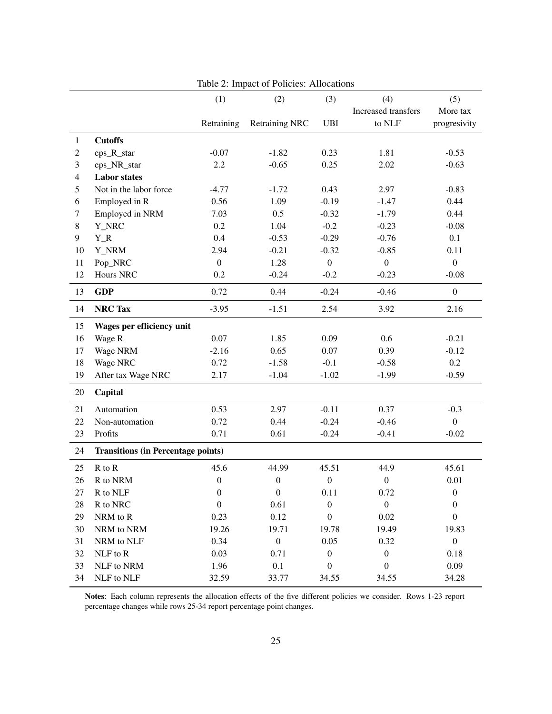|                |                                           | (1)              | (2)              | (3)              | (4)                 | (5)              |
|----------------|-------------------------------------------|------------------|------------------|------------------|---------------------|------------------|
|                |                                           |                  |                  |                  | Increased transfers | More tax         |
|                |                                           | Retraining       | Retraining NRC   | <b>UBI</b>       | to NLF              | progresivity     |
|                |                                           |                  |                  |                  |                     |                  |
| 1              | <b>Cutoffs</b>                            |                  |                  |                  |                     |                  |
| 2              | eps_R_star                                | $-0.07$          | $-1.82$          | 0.23             | 1.81                | $-0.53$          |
| 3              | eps_NR_star                               | 2.2              | $-0.65$          | 0.25             | 2.02                | $-0.63$          |
| $\overline{4}$ | <b>Labor states</b>                       |                  |                  |                  |                     |                  |
| 5              | Not in the labor force                    | $-4.77$          | $-1.72$          | 0.43             | 2.97                | $-0.83$          |
| 6              | Employed in R                             | 0.56             | 1.09             | $-0.19$          | $-1.47$             | 0.44             |
| 7              | Employed in NRM                           | 7.03             | 0.5              | $-0.32$          | $-1.79$             | 0.44             |
| 8              | Y_NRC                                     | 0.2              | 1.04             | $-0.2$           | $-0.23$             | $-0.08$          |
| 9              | $Y_R$                                     | 0.4              | $-0.53$          | $-0.29$          | $-0.76$             | 0.1              |
| 10             | Y_NRM                                     | 2.94             | $-0.21$          | $-0.32$          | $-0.85$             | 0.11             |
| 11             | Pop_NRC                                   | $\boldsymbol{0}$ | 1.28             | $\boldsymbol{0}$ | $\boldsymbol{0}$    | $\boldsymbol{0}$ |
| 12             | Hours NRC                                 | 0.2              | $-0.24$          | $-0.2$           | $-0.23$             | $-0.08$          |
| 13             | <b>GDP</b>                                | 0.72             | 0.44             | $-0.24$          | $-0.46$             | $\boldsymbol{0}$ |
| 14             | <b>NRC Tax</b>                            | $-3.95$          | $-1.51$          | 2.54             | 3.92                | 2.16             |
| 15             | Wages per efficiency unit                 |                  |                  |                  |                     |                  |
| 16             | Wage R                                    | 0.07             | 1.85             | 0.09             | 0.6                 | $-0.21$          |
| 17             | Wage NRM                                  | $-2.16$          | 0.65             | 0.07             | 0.39                | $-0.12$          |
| 18             | Wage NRC                                  | 0.72             | $-1.58$          | $-0.1$           | $-0.58$             | 0.2              |
| 19             | After tax Wage NRC                        | 2.17             | $-1.04$          | $-1.02$          | $-1.99$             | $-0.59$          |
| 20             | Capital                                   |                  |                  |                  |                     |                  |
| 21             | Automation                                | 0.53             | 2.97             | $-0.11$          | 0.37                | $-0.3$           |
| 22             | Non-automation                            | 0.72             | 0.44             | $-0.24$          | $-0.46$             | $\boldsymbol{0}$ |
| 23             | Profits                                   | 0.71             | 0.61             | $-0.24$          | $-0.41$             | $-0.02$          |
| 24             | <b>Transitions (in Percentage points)</b> |                  |                  |                  |                     |                  |
|                |                                           |                  |                  |                  |                     |                  |
| 25             | R to R                                    | 45.6             | 44.99            | 45.51            | 44.9                | 45.61            |
| 26             | R to NRM                                  | $\boldsymbol{0}$ | $\boldsymbol{0}$ | $\boldsymbol{0}$ | $\boldsymbol{0}$    | $0.01\,$         |
| 27             | R to NLF                                  | $\boldsymbol{0}$ | $\boldsymbol{0}$ | 0.11             | 0.72                | $\boldsymbol{0}$ |
| 28             | R to NRC                                  | $\boldsymbol{0}$ | 0.61             | $\boldsymbol{0}$ | $\boldsymbol{0}$    | $\boldsymbol{0}$ |
| 29             | NRM to R                                  | 0.23             | 0.12             | $\boldsymbol{0}$ | 0.02                | $\boldsymbol{0}$ |
| 30             | NRM to NRM                                | 19.26            | 19.71            | 19.78            | 19.49               | 19.83            |
| 31             | NRM to NLF                                | 0.34             | $\boldsymbol{0}$ | 0.05             | 0.32                | $\boldsymbol{0}$ |
| 32             | NLF to R                                  | 0.03             | 0.71             | $\boldsymbol{0}$ | $\boldsymbol{0}$    | 0.18             |
| 33             | NLF to NRM                                | 1.96             | 0.1              | $\boldsymbol{0}$ | $\boldsymbol{0}$    | 0.09             |
| 34             | NLF to NLF                                | 32.59            | 33.77            | 34.55            | 34.55               | 34.28            |

<span id="page-25-0"></span>Table 2: Impact of Policies: Allocations

Notes: Each column represents the allocation effects of the five different policies we consider. Rows 1-23 report percentage changes while rows 25-34 report percentage point changes.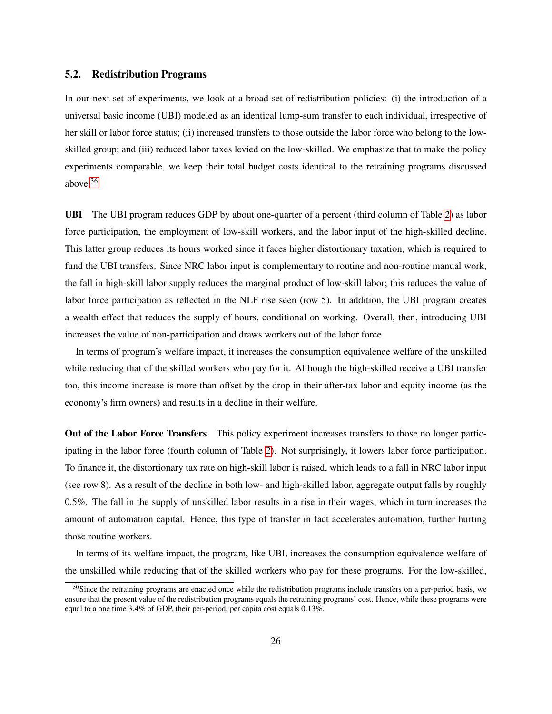#### 5.2. Redistribution Programs

In our next set of experiments, we look at a broad set of redistribution policies: (i) the introduction of a universal basic income (UBI) modeled as an identical lump-sum transfer to each individual, irrespective of her skill or labor force status; (ii) increased transfers to those outside the labor force who belong to the lowskilled group; and (iii) reduced labor taxes levied on the low-skilled. We emphasize that to make the policy experiments comparable, we keep their total budget costs identical to the retraining programs discussed above.[36](#page-26-0)

UBI The UBI program reduces GDP by about one-quarter of a percent (third column of Table [2\)](#page-25-0) as labor force participation, the employment of low-skill workers, and the labor input of the high-skilled decline. This latter group reduces its hours worked since it faces higher distortionary taxation, which is required to fund the UBI transfers. Since NRC labor input is complementary to routine and non-routine manual work, the fall in high-skill labor supply reduces the marginal product of low-skill labor; this reduces the value of labor force participation as reflected in the NLF rise seen (row 5). In addition, the UBI program creates a wealth effect that reduces the supply of hours, conditional on working. Overall, then, introducing UBI increases the value of non-participation and draws workers out of the labor force.

In terms of program's welfare impact, it increases the consumption equivalence welfare of the unskilled while reducing that of the skilled workers who pay for it. Although the high-skilled receive a UBI transfer too, this income increase is more than offset by the drop in their after-tax labor and equity income (as the economy's firm owners) and results in a decline in their welfare.

Out of the Labor Force Transfers This policy experiment increases transfers to those no longer participating in the labor force (fourth column of Table [2\)](#page-25-0). Not surprisingly, it lowers labor force participation. To finance it, the distortionary tax rate on high-skill labor is raised, which leads to a fall in NRC labor input (see row 8). As a result of the decline in both low- and high-skilled labor, aggregate output falls by roughly 0.5%. The fall in the supply of unskilled labor results in a rise in their wages, which in turn increases the amount of automation capital. Hence, this type of transfer in fact accelerates automation, further hurting those routine workers.

In terms of its welfare impact, the program, like UBI, increases the consumption equivalence welfare of the unskilled while reducing that of the skilled workers who pay for these programs. For the low-skilled,

<span id="page-26-0"></span><sup>&</sup>lt;sup>36</sup>Since the retraining programs are enacted once while the redistribution programs include transfers on a per-period basis, we ensure that the present value of the redistribution programs equals the retraining programs' cost. Hence, while these programs were equal to a one time 3.4% of GDP, their per-period, per capita cost equals 0.13%.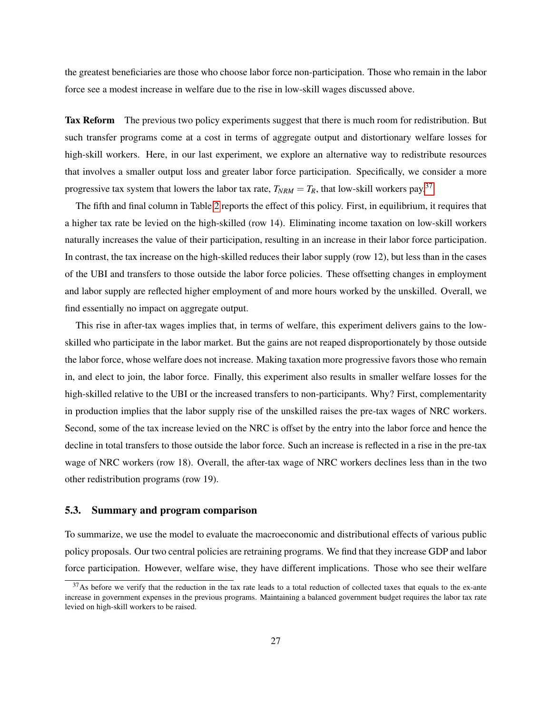the greatest beneficiaries are those who choose labor force non-participation. Those who remain in the labor force see a modest increase in welfare due to the rise in low-skill wages discussed above.

Tax Reform The previous two policy experiments suggest that there is much room for redistribution. But such transfer programs come at a cost in terms of aggregate output and distortionary welfare losses for high-skill workers. Here, in our last experiment, we explore an alternative way to redistribute resources that involves a smaller output loss and greater labor force participation. Specifically, we consider a more progressive tax system that lowers the labor tax rate,  $T_{NRM} = T_R$ , that low-skill workers pay.<sup>[37](#page-27-0)</sup>

The fifth and final column in Table [2](#page-25-0) reports the effect of this policy. First, in equilibrium, it requires that a higher tax rate be levied on the high-skilled (row 14). Eliminating income taxation on low-skill workers naturally increases the value of their participation, resulting in an increase in their labor force participation. In contrast, the tax increase on the high-skilled reduces their labor supply (row 12), but less than in the cases of the UBI and transfers to those outside the labor force policies. These offsetting changes in employment and labor supply are reflected higher employment of and more hours worked by the unskilled. Overall, we find essentially no impact on aggregate output.

This rise in after-tax wages implies that, in terms of welfare, this experiment delivers gains to the lowskilled who participate in the labor market. But the gains are not reaped disproportionately by those outside the labor force, whose welfare does not increase. Making taxation more progressive favors those who remain in, and elect to join, the labor force. Finally, this experiment also results in smaller welfare losses for the high-skilled relative to the UBI or the increased transfers to non-participants. Why? First, complementarity in production implies that the labor supply rise of the unskilled raises the pre-tax wages of NRC workers. Second, some of the tax increase levied on the NRC is offset by the entry into the labor force and hence the decline in total transfers to those outside the labor force. Such an increase is reflected in a rise in the pre-tax wage of NRC workers (row 18). Overall, the after-tax wage of NRC workers declines less than in the two other redistribution programs (row 19).

## 5.3. Summary and program comparison

To summarize, we use the model to evaluate the macroeconomic and distributional effects of various public policy proposals. Our two central policies are retraining programs. We find that they increase GDP and labor force participation. However, welfare wise, they have different implications. Those who see their welfare

<span id="page-27-0"></span> $37$ As before we verify that the reduction in the tax rate leads to a total reduction of collected taxes that equals to the ex-ante increase in government expenses in the previous programs. Maintaining a balanced government budget requires the labor tax rate levied on high-skill workers to be raised.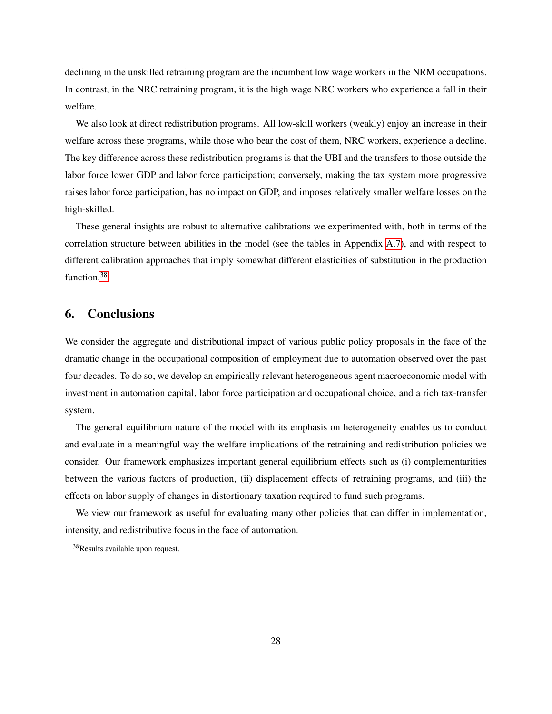declining in the unskilled retraining program are the incumbent low wage workers in the NRM occupations. In contrast, in the NRC retraining program, it is the high wage NRC workers who experience a fall in their welfare.

We also look at direct redistribution programs. All low-skill workers (weakly) enjoy an increase in their welfare across these programs, while those who bear the cost of them, NRC workers, experience a decline. The key difference across these redistribution programs is that the UBI and the transfers to those outside the labor force lower GDP and labor force participation; conversely, making the tax system more progressive raises labor force participation, has no impact on GDP, and imposes relatively smaller welfare losses on the high-skilled.

These general insights are robust to alternative calibrations we experimented with, both in terms of the correlation structure between abilities in the model (see the tables in Appendix [A.7\)](#page-38-0), and with respect to different calibration approaches that imply somewhat different elasticities of substitution in the production function.[38](#page-28-1)

## <span id="page-28-0"></span>6. Conclusions

We consider the aggregate and distributional impact of various public policy proposals in the face of the dramatic change in the occupational composition of employment due to automation observed over the past four decades. To do so, we develop an empirically relevant heterogeneous agent macroeconomic model with investment in automation capital, labor force participation and occupational choice, and a rich tax-transfer system.

The general equilibrium nature of the model with its emphasis on heterogeneity enables us to conduct and evaluate in a meaningful way the welfare implications of the retraining and redistribution policies we consider. Our framework emphasizes important general equilibrium effects such as (i) complementarities between the various factors of production, (ii) displacement effects of retraining programs, and (iii) the effects on labor supply of changes in distortionary taxation required to fund such programs.

We view our framework as useful for evaluating many other policies that can differ in implementation, intensity, and redistributive focus in the face of automation.

<span id="page-28-1"></span><sup>38</sup>Results available upon request.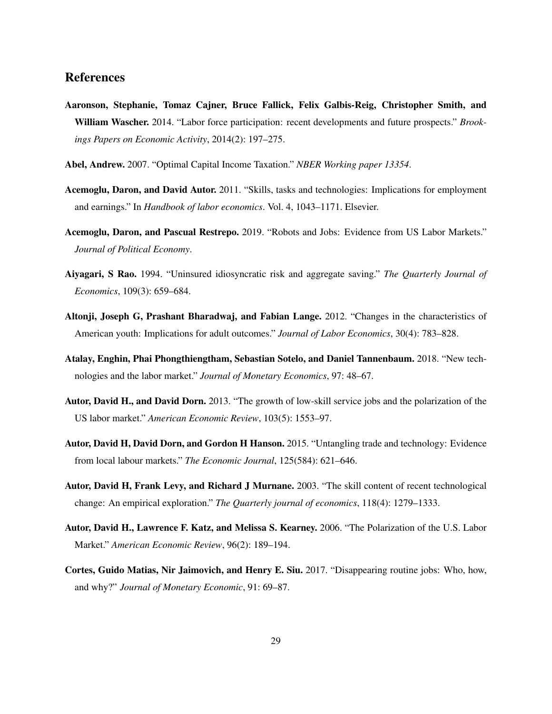## References

- <span id="page-29-10"></span>Aaronson, Stephanie, Tomaz Cajner, Bruce Fallick, Felix Galbis-Reig, Christopher Smith, and William Wascher. 2014. "Labor force participation: recent developments and future prospects." *Brookings Papers on Economic Activity*, 2014(2): 197–275.
- <span id="page-29-8"></span>Abel, Andrew. 2007. "Optimal Capital Income Taxation." *NBER Working paper 13354*.
- <span id="page-29-1"></span>Acemoglu, Daron, and David Autor. 2011. "Skills, tasks and technologies: Implications for employment and earnings." In *Handbook of labor economics*. Vol. 4, 1043–1171. Elsevier.
- <span id="page-29-5"></span>Acemoglu, Daron, and Pascual Restrepo. 2019. "Robots and Jobs: Evidence from US Labor Markets." *Journal of Political Economy*.
- <span id="page-29-7"></span>Aiyagari, S Rao. 1994. "Uninsured idiosyncratic risk and aggregate saving." *The Quarterly Journal of Economics*, 109(3): 659–684.
- <span id="page-29-11"></span>Altonji, Joseph G, Prashant Bharadwaj, and Fabian Lange. 2012. "Changes in the characteristics of American youth: Implications for adult outcomes." *Journal of Labor Economics*, 30(4): 783–828.
- <span id="page-29-4"></span>Atalay, Enghin, Phai Phongthiengtham, Sebastian Sotelo, and Daniel Tannenbaum. 2018. "New technologies and the labor market." *Journal of Monetary Economics*, 97: 48–67.
- <span id="page-29-3"></span>Autor, David H., and David Dorn. 2013. "The growth of low-skill service jobs and the polarization of the US labor market." *American Economic Review*, 103(5): 1553–97.
- <span id="page-29-9"></span>Autor, David H, David Dorn, and Gordon H Hanson. 2015. "Untangling trade and technology: Evidence from local labour markets." *The Economic Journal*, 125(584): 621–646.
- <span id="page-29-2"></span>Autor, David H, Frank Levy, and Richard J Murnane. 2003. "The skill content of recent technological change: An empirical exploration." *The Quarterly journal of economics*, 118(4): 1279–1333.
- <span id="page-29-0"></span>Autor, David H., Lawrence F. Katz, and Melissa S. Kearney. 2006. "The Polarization of the U.S. Labor Market." *American Economic Review*, 96(2): 189–194.
- <span id="page-29-6"></span>Cortes, Guido Matias, Nir Jaimovich, and Henry E. Siu. 2017. "Disappearing routine jobs: Who, how, and why?" *Journal of Monetary Economic*, 91: 69–87.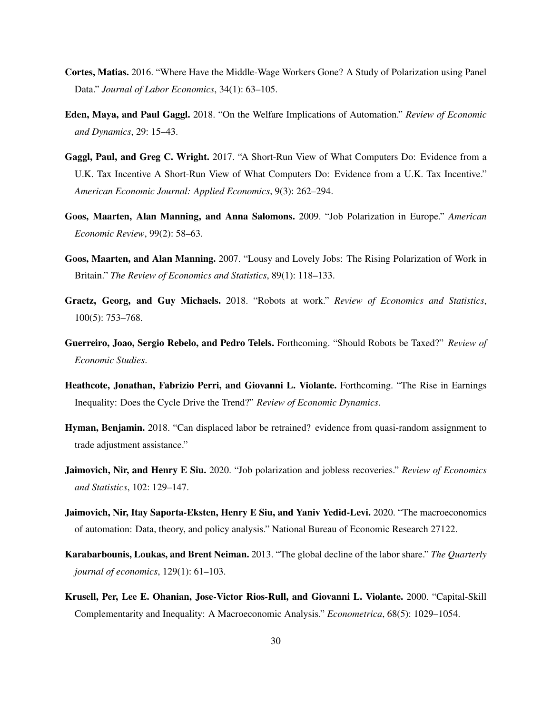- <span id="page-30-6"></span>Cortes, Matias. 2016. "Where Have the Middle-Wage Workers Gone? A Study of Polarization using Panel Data." *Journal of Labor Economics*, 34(1): 63–105.
- <span id="page-30-2"></span>Eden, Maya, and Paul Gaggl. 2018. "On the Welfare Implications of Automation." *Review of Economic and Dynamics*, 29: 15–43.
- <span id="page-30-5"></span>Gaggl, Paul, and Greg C. Wright. 2017. "A Short-Run View of What Computers Do: Evidence from a U.K. Tax Incentive A Short-Run View of What Computers Do: Evidence from a U.K. Tax Incentive." *American Economic Journal: Applied Economics*, 9(3): 262–294.
- <span id="page-30-1"></span>Goos, Maarten, Alan Manning, and Anna Salomons. 2009. "Job Polarization in Europe." *American Economic Review*, 99(2): 58–63.
- <span id="page-30-0"></span>Goos, Maarten, and Alan Manning. 2007. "Lousy and Lovely Jobs: The Rising Polarization of Work in Britain." *The Review of Economics and Statistics*, 89(1): 118–133.
- <span id="page-30-4"></span>Graetz, Georg, and Guy Michaels. 2018. "Robots at work." *Review of Economics and Statistics*, 100(5): 753–768.
- <span id="page-30-9"></span>Guerreiro, Joao, Sergio Rebelo, and Pedro Telels. Forthcoming. "Should Robots be Taxed?" *Review of Economic Studies*.
- <span id="page-30-8"></span>Heathcote, Jonathan, Fabrizio Perri, and Giovanni L. Violante. Forthcoming. "The Rise in Earnings Inequality: Does the Cycle Drive the Trend?" *Review of Economic Dynamics*.
- <span id="page-30-12"></span>Hyman, Benjamin. 2018. "Can displaced labor be retrained? evidence from quasi-random assignment to trade adjustment assistance."
- <span id="page-30-3"></span>Jaimovich, Nir, and Henry E Siu. 2020. "Job polarization and jobless recoveries." *Review of Economics and Statistics*, 102: 129–147.
- <span id="page-30-7"></span>Jaimovich, Nir, Itay Saporta-Eksten, Henry E Siu, and Yaniv Yedid-Levi. 2020. "The macroeconomics of automation: Data, theory, and policy analysis." National Bureau of Economic Research 27122.
- <span id="page-30-11"></span>Karabarbounis, Loukas, and Brent Neiman. 2013. "The global decline of the labor share." *The Quarterly journal of economics*, 129(1): 61–103.
- <span id="page-30-10"></span>Krusell, Per, Lee E. Ohanian, Jose-Victor Rios-Rull, and Giovanni L. Violante. 2000. "Capital-Skill Complementarity and Inequality: A Macroeconomic Analysis." *Econometrica*, 68(5): 1029–1054.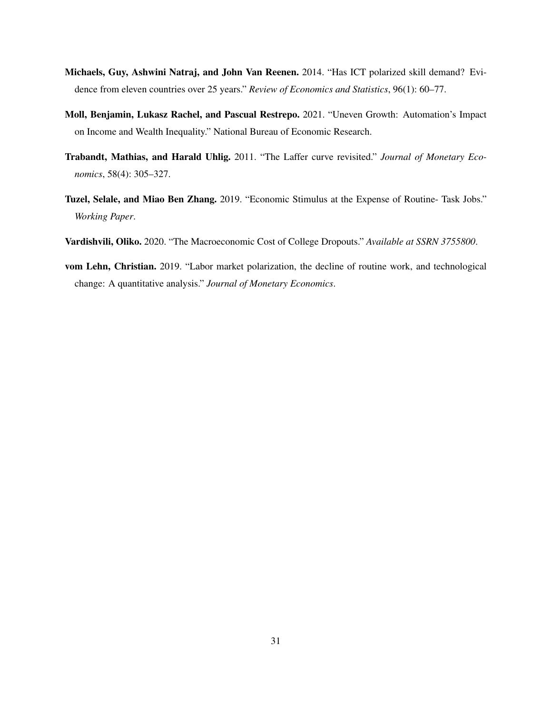- <span id="page-31-2"></span>Michaels, Guy, Ashwini Natraj, and John Van Reenen. 2014. "Has ICT polarized skill demand? Evidence from eleven countries over 25 years." *Review of Economics and Statistics*, 96(1): 60–77.
- <span id="page-31-1"></span>Moll, Benjamin, Lukasz Rachel, and Pascual Restrepo. 2021. "Uneven Growth: Automation's Impact on Income and Wealth Inequality." National Bureau of Economic Research.
- <span id="page-31-4"></span>Trabandt, Mathias, and Harald Uhlig. 2011. "The Laffer curve revisited." *Journal of Monetary Economics*, 58(4): 305–327.
- <span id="page-31-3"></span>Tuzel, Selale, and Miao Ben Zhang. 2019. "Economic Stimulus at the Expense of Routine- Task Jobs." *Working Paper*.
- <span id="page-31-5"></span>Vardishvili, Oliko. 2020. "The Macroeconomic Cost of College Dropouts." *Available at SSRN 3755800*.
- <span id="page-31-0"></span>vom Lehn, Christian. 2019. "Labor market polarization, the decline of routine work, and technological change: A quantitative analysis." *Journal of Monetary Economics*.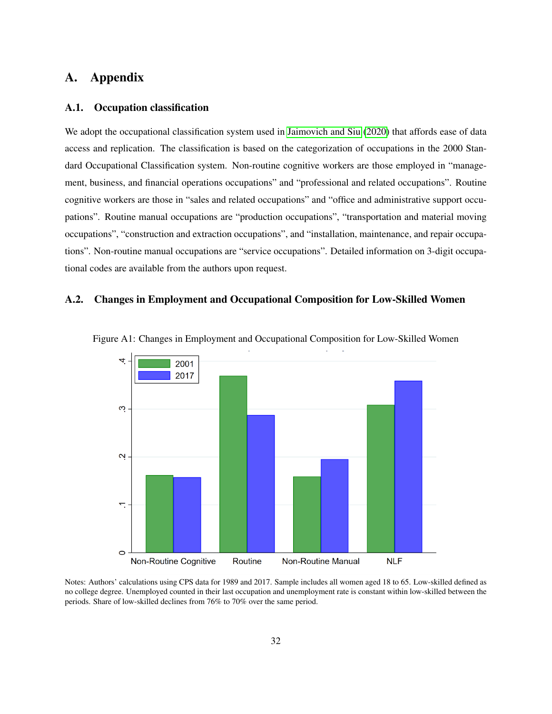## A. Appendix

#### <span id="page-32-0"></span>A.1. Occupation classification

We adopt the occupational classification system used in [Jaimovich and Siu](#page-30-3) [\(2020\)](#page-30-3) that affords ease of data access and replication. The classification is based on the categorization of occupations in the 2000 Standard Occupational Classification system. Non-routine cognitive workers are those employed in "management, business, and financial operations occupations" and "professional and related occupations". Routine cognitive workers are those in "sales and related occupations" and "office and administrative support occupations". Routine manual occupations are "production occupations", "transportation and material moving occupations", "construction and extraction occupations", and "installation, maintenance, and repair occupations". Non-routine manual occupations are "service occupations". Detailed information on 3-digit occupational codes are available from the authors upon request.

#### A.2. Changes in Employment and Occupational Composition for Low-Skilled Women



Figure A1: Changes in Employment and Occupational Composition for Low-Skilled Women

Notes: Authors' calculations using CPS data for 1989 and 2017. Sample includes all women aged 18 to 65. Low-skilled defined as no college degree. Unemployed counted in their last occupation and unemployment rate is constant within low-skilled between the periods. Share of low-skilled declines from 76% to 70% over the same period.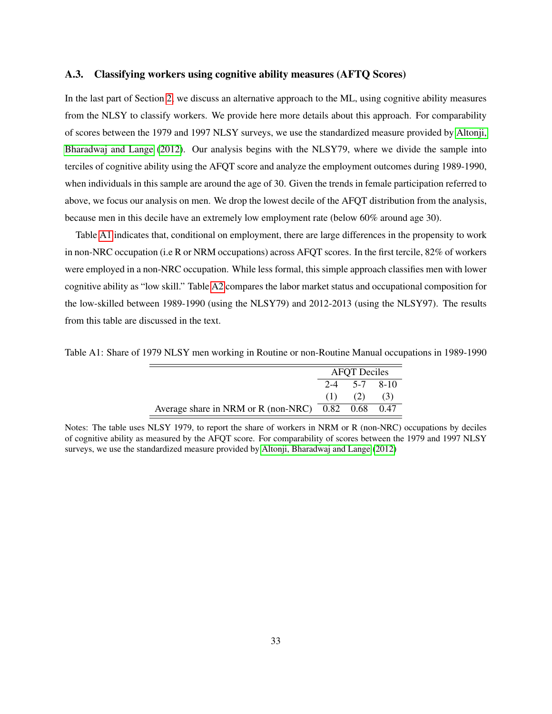#### <span id="page-33-0"></span>A.3. Classifying workers using cognitive ability measures (AFTQ Scores)

In the last part of Section [2,](#page-5-0) we discuss an alternative approach to the ML, using cognitive ability measures from the NLSY to classify workers. We provide here more details about this approach. For comparability of scores between the 1979 and 1997 NLSY surveys, we use the standardized measure provided by [Altonji,](#page-29-11) [Bharadwaj and Lange](#page-29-11) [\(2012\)](#page-29-11). Our analysis begins with the NLSY79, where we divide the sample into terciles of cognitive ability using the AFQT score and analyze the employment outcomes during 1989-1990, when individuals in this sample are around the age of 30. Given the trends in female participation referred to above, we focus our analysis on men. We drop the lowest decile of the AFQT distribution from the analysis, because men in this decile have an extremely low employment rate (below 60% around age 30).

Table [A1](#page-15-0) indicates that, conditional on employment, there are large differences in the propensity to work in non-NRC occupation (i.e R or NRM occupations) across AFQT scores. In the first tercile, 82% of workers were employed in a non-NRC occupation. While less formal, this simple approach classifies men with lower cognitive ability as "low skill." Table [A2](#page-25-0) compares the labor market status and occupational composition for the low-skilled between 1989-1990 (using the NLSY79) and 2012-2013 (using the NLSY97). The results from this table are discussed in the text.

Table A1: Share of 1979 NLSY men working in Routine or non-Routine Manual occupations in 1989-1990

|                                                    | <b>AFOT</b> Deciles |                |     |
|----------------------------------------------------|---------------------|----------------|-----|
|                                                    |                     | $2-4$ 5-7 8-10 |     |
|                                                    |                     | $(1)$ $(2)$    | (3) |
| Average share in NRM or R (non-NRC) 0.82 0.68 0.47 |                     |                |     |

Notes: The table uses NLSY 1979, to report the share of workers in NRM or R (non-NRC) occupations by deciles of cognitive ability as measured by the AFQT score. For comparability of scores between the 1979 and 1997 NLSY surveys, we use the standardized measure provided by [Altonji, Bharadwaj and Lange](#page-29-11) [\(2012\)](#page-29-11)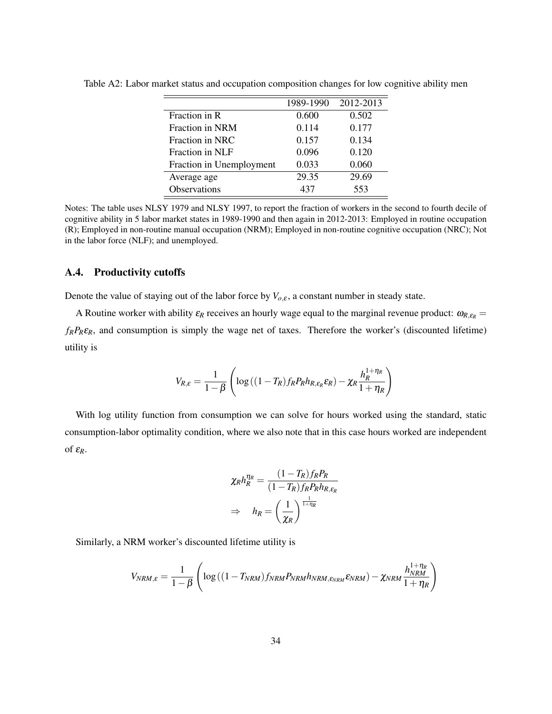|                          | 1989-1990 | 2012-2013 |
|--------------------------|-----------|-----------|
| Fraction in R            | 0.600     | 0.502     |
| Fraction in NRM          | 0.114     | 0.177     |
| Fraction in NRC          | 0.157     | 0.134     |
| Fraction in NLF          | 0.096     | 0.120     |
| Fraction in Unemployment | 0.033     | 0.060     |
| Average age              | 29.35     | 29.69     |
| <b>Observations</b>      | 437       | 553       |

Table A2: Labor market status and occupation composition changes for low cognitive ability men

Notes: The table uses NLSY 1979 and NLSY 1997, to report the fraction of workers in the second to fourth decile of cognitive ability in 5 labor market states in 1989-1990 and then again in 2012-2013: Employed in routine occupation (R); Employed in non-routine manual occupation (NRM); Employed in non-routine cognitive occupation (NRC); Not in the labor force (NLF); and unemployed.

### <span id="page-34-0"></span>A.4. Productivity cutoffs

Denote the value of staying out of the labor force by  $V_{o, \varepsilon}$ , a constant number in steady state.

A Routine worker with ability  $\varepsilon_R$  receives an hourly wage equal to the marginal revenue product:  $\omega_{R,\varepsilon_R}$  =  $f_R P_R \varepsilon_R$ , and consumption is simply the wage net of taxes. Therefore the worker's (discounted lifetime) utility is

$$
V_{R,\varepsilon} = \frac{1}{1-\beta} \left( \log \left( (1-T_R) f_R P_R h_{R,\varepsilon_R} \varepsilon_R \right) - \chi_R \frac{h_R^{1+\eta_R}}{1+\eta_R} \right)
$$

With log utility function from consumption we can solve for hours worked using the standard, static consumption-labor optimality condition, where we also note that in this case hours worked are independent of  $\varepsilon_R$ .

$$
\chi_R h_R^{\eta_R} = \frac{(1 - T_R) f_R P_R}{(1 - T_R) f_R P_R h_{R, \varepsilon_R}}
$$

$$
\Rightarrow h_R = \left(\frac{1}{\chi_R}\right)^{\frac{1}{1 + \eta_R}}
$$

Similarly, a NRM worker's discounted lifetime utility is

$$
V_{NRM,\varepsilon} = \frac{1}{1-\beta} \left( \log \left( (1 - T_{NRM}) f_{NRM} P_{NRM} h_{NRM, \varepsilon_{NRM}} \varepsilon_{NRM} \right) - \chi_{NRM} \frac{h_{NRM}^{1+\eta_R}}{1+\eta_R} \right)
$$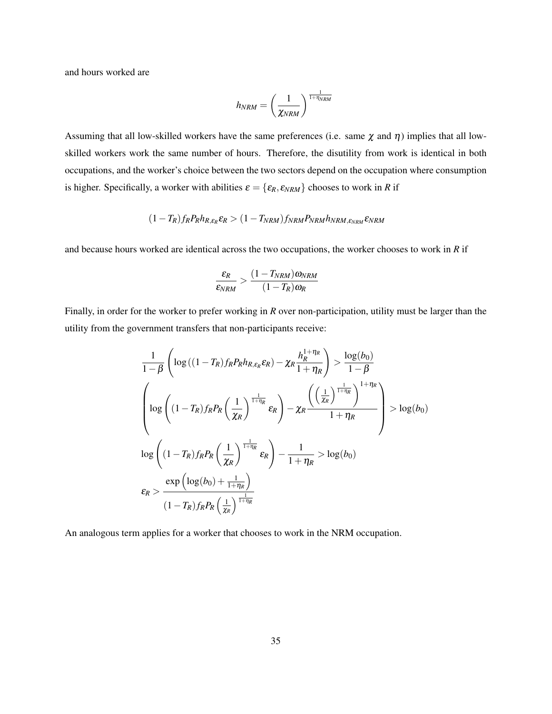and hours worked are

$$
h_{NRM}=\left(\frac{1}{\chi_{NRM}}\right)^{\frac{1}{1+\eta_{NRM}}}
$$

Assuming that all low-skilled workers have the same preferences (i.e. same  $\chi$  and  $\eta$ ) implies that all lowskilled workers work the same number of hours. Therefore, the disutility from work is identical in both occupations, and the worker's choice between the two sectors depend on the occupation where consumption is higher. Specifically, a worker with abilities  $\varepsilon = {\varepsilon_R, \varepsilon_{NRM}}$  chooses to work in *R* if

$$
(1 - T_R)f_R P_R h_{R, \varepsilon_R} \varepsilon_R > (1 - T_{NRM})f_{NRM} P_{NRM} h_{NRM, \varepsilon_{NRM}} \varepsilon_{NRM}
$$

and because hours worked are identical across the two occupations, the worker chooses to work in *R* if

$$
\frac{\varepsilon_R}{\varepsilon_{NRM}} > \frac{(1-T_{NRM})\omega_{NRM}}{(1-T_R)\omega_R}
$$

Finally, in order for the worker to prefer working in *R* over non-participation, utility must be larger than the utility from the government transfers that non-participants receive:

$$
\frac{1}{1-\beta} \left( \log\left((1-T_R)f_RP_Rh_{R,\varepsilon_R}\varepsilon_R\right) - \chi_R \frac{h_R^{1+\eta_R}}{1+\eta_R} \right) > \frac{\log(b_0)}{1-\beta}
$$
\n
$$
\left( \log\left((1-T_R)f_RP_R\left(\frac{1}{\chi_R}\right)^{\frac{1}{1+\eta_R}}\varepsilon_R\right) - \chi_R \frac{\left(\left(\frac{1}{\chi_R}\right)^{\frac{1}{1+\eta_R}}\right)^{1+\eta_R}}{1+\eta_R} \right) > \log(b_0)
$$
\n
$$
\log\left((1-T_R)f_RP_R\left(\frac{1}{\chi_R}\right)^{\frac{1}{1+\eta_R}}\varepsilon_R\right) - \frac{1}{1+\eta_R} > \log(b_0)
$$
\n
$$
\varepsilon_R > \frac{\exp\left(\log(b_0) + \frac{1}{1+\eta_R}\right)}{(1-T_R)f_RP_R\left(\frac{1}{\chi_R}\right)^{\frac{1}{1+\eta_R}}}
$$

An analogous term applies for a worker that chooses to work in the NRM occupation.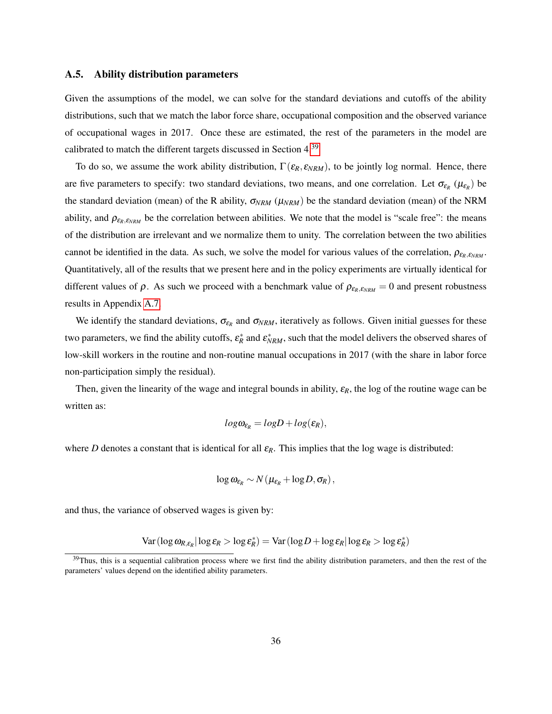#### <span id="page-36-0"></span>A.5. Ability distribution parameters

Given the assumptions of the model, we can solve for the standard deviations and cutoffs of the ability distributions, such that we match the labor force share, occupational composition and the observed variance of occupational wages in 2017. Once these are estimated, the rest of the parameters in the model are calibrated to match the different targets discussed in Section 4.[39](#page-36-1)

To do so, we assume the work ability distribution,  $\Gamma(\varepsilon_R, \varepsilon_{NRM})$ , to be jointly log normal. Hence, there are five parameters to specify: two standard deviations, two means, and one correlation. Let  $\sigma_{\varepsilon_R}(\mu_{\varepsilon_R})$  be the standard deviation (mean) of the R ability,  $\sigma_{NRM}$  ( $\mu_{NRM}$ ) be the standard deviation (mean) of the NRM ability, and  $\rho_{\varepsilon_R, \varepsilon_{NRM}}$  be the correlation between abilities. We note that the model is "scale free": the means of the distribution are irrelevant and we normalize them to unity. The correlation between the two abilities cannot be identified in the data. As such, we solve the model for various values of the correlation,  $\rho_{\varepsilon_R,\varepsilon_{NRM}}$ . Quantitatively, all of the results that we present here and in the policy experiments are virtually identical for different values of  $\rho$ . As such we proceed with a benchmark value of  $\rho_{\varepsilon_R,\varepsilon_{NRM}} = 0$  and present robustness results in Appendix [A.7.](#page-38-0)

We identify the standard deviations,  $\sigma_{\epsilon_R}$  and  $\sigma_{NRM}$ , iteratively as follows. Given initial guesses for these two parameters, we find the ability cutoffs,  $\varepsilon_R^*$  and  $\varepsilon_{NRM}^*$ , such that the model delivers the observed shares of low-skill workers in the routine and non-routine manual occupations in 2017 (with the share in labor force non-participation simply the residual).

Then, given the linearity of the wage and integral bounds in ability,  $\varepsilon_R$ , the log of the routine wage can be written as:

$$
log \omega_{\varepsilon_R} = log D + log(\varepsilon_R),
$$

where *D* denotes a constant that is identical for all  $\varepsilon_R$ . This implies that the log wage is distributed:

$$
\log \omega_{\varepsilon_R} \sim N(\mu_{\varepsilon_R} + \log D, \sigma_R),
$$

and thus, the variance of observed wages is given by:

$$
\text{Var}(\log \omega_{R, \varepsilon_R} | \log \varepsilon_R > \log \varepsilon_R^*) = \text{Var}(\log D + \log \varepsilon_R | \log \varepsilon_R > \log \varepsilon_R^*)
$$

<span id="page-36-1"></span><sup>&</sup>lt;sup>39</sup>Thus, this is a sequential calibration process where we first find the ability distribution parameters, and then the rest of the parameters' values depend on the identified ability parameters.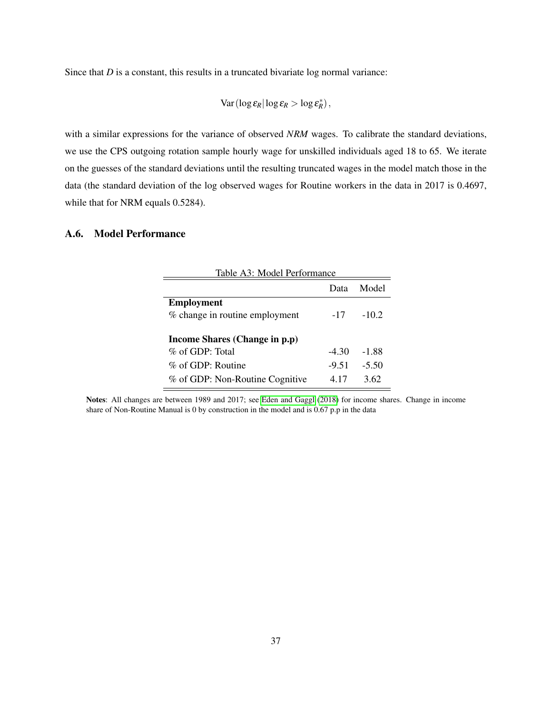Since that *D* is a constant, this results in a truncated bivariate log normal variance:

$$
\text{Var}(\log \varepsilon_R |\log \varepsilon_R > \log \varepsilon_R^*)\,,
$$

with a similar expressions for the variance of observed *NRM* wages. To calibrate the standard deviations, we use the CPS outgoing rotation sample hourly wage for unskilled individuals aged 18 to 65. We iterate on the guesses of the standard deviations until the resulting truncated wages in the model match those in the data (the standard deviation of the log observed wages for Routine workers in the data in 2017 is 0.4697, while that for NRM equals 0.5284).

## <span id="page-37-0"></span>A.6. Model Performance

|                                 | Data    | Model   |
|---------------------------------|---------|---------|
| <b>Employment</b>               |         |         |
| % change in routine employment  | $-17$   | $-10.2$ |
|                                 |         |         |
| Income Shares (Change in p.p)   |         |         |
| $\%$ of GDP: Total              | $-4.30$ | -1.88   |
| % of GDP: Routine               | $-9.51$ | $-5.50$ |
| % of GDP: Non-Routine Cognitive | 4.17    | 3.62    |

Notes: All changes are between 1989 and 2017; see [Eden and Gaggl](#page-30-2) [\(2018\)](#page-30-2) for income shares. Change in income share of Non-Routine Manual is 0 by construction in the model and is 0.67 p.p in the data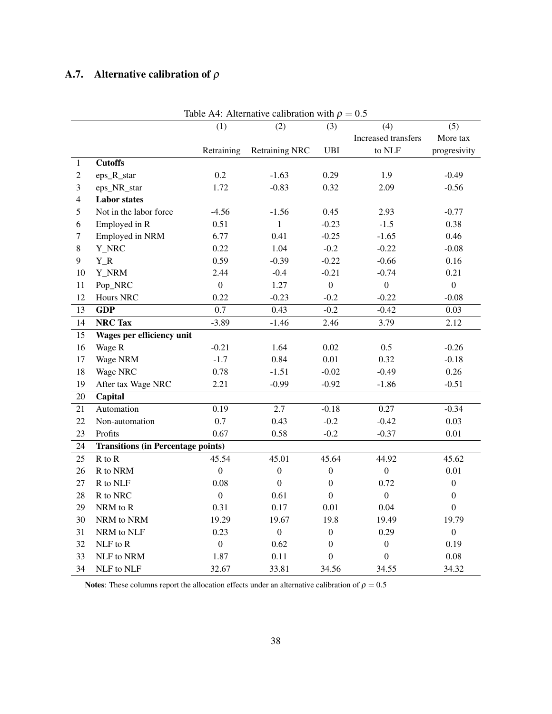# <span id="page-38-0"></span>A.7. Alternative calibration of  $\rho$

|                | radic $\lambda$ , $\lambda$ succedure canonation with $\rho$<br>- טי<br>(5)<br>(4)<br>(1)<br>(2)<br>(3) |                  |                       |                         |                           |                      |  |
|----------------|---------------------------------------------------------------------------------------------------------|------------------|-----------------------|-------------------------|---------------------------|----------------------|--|
|                |                                                                                                         |                  |                       |                         | Increased transfers       | More tax             |  |
|                |                                                                                                         | Retraining       | <b>Retraining NRC</b> | <b>UBI</b>              | to NLF                    | progresivity         |  |
| $\mathbf{1}$   | <b>Cutoffs</b>                                                                                          |                  |                       |                         |                           |                      |  |
| $\overline{2}$ | eps_R_star                                                                                              | 0.2              | $-1.63$               | 0.29                    | 1.9                       | $-0.49$              |  |
| 3              | eps_NR_star                                                                                             | 1.72             | $-0.83$               | 0.32                    | 2.09                      | $-0.56$              |  |
| $\overline{4}$ | <b>Labor states</b>                                                                                     |                  |                       |                         |                           |                      |  |
| 5              | Not in the labor force                                                                                  | $-4.56$          | $-1.56$               | 0.45                    | 2.93                      | $-0.77$              |  |
| 6              | Employed in R                                                                                           | 0.51             | $\mathbf{1}$          | $-0.23$                 | $-1.5$                    | 0.38                 |  |
| $\tau$         | Employed in NRM                                                                                         | 6.77             | 0.41                  | $-0.25$                 | $-1.65$                   | 0.46                 |  |
| 8              | Y_NRC                                                                                                   | 0.22             | 1.04                  | $-0.2$                  | $-0.22$                   | $-0.08$              |  |
| 9              | $Y_R$                                                                                                   | 0.59             | $-0.39$               | $-0.22$                 | $-0.66$                   | 0.16                 |  |
|                |                                                                                                         | 2.44             |                       |                         |                           |                      |  |
| 10             | Y_NRM                                                                                                   | $\mathbf{0}$     | $-0.4$                | $-0.21$<br>$\mathbf{0}$ | $-0.74$<br>$\overline{0}$ | 0.21<br>$\mathbf{0}$ |  |
| 11<br>12       | Pop_NRC                                                                                                 | 0.22             | 1.27                  |                         | $-0.22$                   |                      |  |
|                | Hours NRC<br><b>GDP</b>                                                                                 | 0.7              | $-0.23$<br>0.43       | $-0.2$<br>$-0.2$        | $-0.42$                   | $-0.08$<br>0.03      |  |
| 13             |                                                                                                         |                  |                       |                         |                           |                      |  |
| 14             | <b>NRC Tax</b>                                                                                          | $-3.89$          | $-1.46$               | 2.46                    | 3.79                      | 2.12                 |  |
| 15             | Wages per efficiency unit                                                                               |                  |                       |                         |                           |                      |  |
| 16             | Wage R                                                                                                  | $-0.21$          | 1.64                  | 0.02                    | 0.5                       | $-0.26$              |  |
| 17             | Wage NRM                                                                                                | $-1.7$           | 0.84                  | 0.01                    | 0.32                      | $-0.18$              |  |
| 18             | Wage NRC                                                                                                | 0.78             | $-1.51$               | $-0.02$                 | $-0.49$                   | 0.26                 |  |
| 19             | After tax Wage NRC                                                                                      | 2.21             | $-0.99$               | $-0.92$                 | $-1.86$                   | $-0.51$              |  |
| 20             | Capital                                                                                                 |                  |                       |                         |                           |                      |  |
| 21             | Automation                                                                                              | 0.19             | 2.7                   | $-0.18$                 | 0.27                      | $-0.34$              |  |
| 22             | Non-automation                                                                                          | 0.7              | 0.43                  | $-0.2$                  | $-0.42$                   | 0.03                 |  |
| 23             | Profits                                                                                                 | 0.67             | 0.58                  | $-0.2$                  | $-0.37$                   | 0.01                 |  |
| 24             | <b>Transitions (in Percentage points)</b>                                                               |                  |                       |                         |                           |                      |  |
| 25             | $R$ to $R$                                                                                              | 45.54            | 45.01                 | 45.64                   | 44.92                     | 45.62                |  |
| 26             | R to NRM                                                                                                | $\boldsymbol{0}$ | $\boldsymbol{0}$      | $\boldsymbol{0}$        | $\boldsymbol{0}$          | 0.01                 |  |
| 27             | R to NLF                                                                                                | 0.08             | $\boldsymbol{0}$      | $\boldsymbol{0}$        | 0.72                      | $\boldsymbol{0}$     |  |
| 28             | R to NRC                                                                                                | $\boldsymbol{0}$ | 0.61                  | $\boldsymbol{0}$        | $\boldsymbol{0}$          | $\boldsymbol{0}$     |  |
| 29             | NRM to R                                                                                                | 0.31             | 0.17                  | 0.01                    | 0.04                      | $\boldsymbol{0}$     |  |
| 30             | NRM to NRM                                                                                              | 19.29            | 19.67                 | 19.8                    | 19.49                     | 19.79                |  |
| 31             | NRM to NLF                                                                                              | 0.23             | $\boldsymbol{0}$      | $\boldsymbol{0}$        | 0.29                      | $\boldsymbol{0}$     |  |
| 32             | $\rm NLF$ to $\rm R$                                                                                    | $\boldsymbol{0}$ | 0.62                  | $\boldsymbol{0}$        | $\boldsymbol{0}$          | 0.19                 |  |
| 33             | NLF to NRM                                                                                              | 1.87             | 0.11                  | $\boldsymbol{0}$        | $\boldsymbol{0}$          | 0.08                 |  |
| 34             | NLF to NLF                                                                                              | 32.67            | 33.81                 | 34.56                   | 34.55                     | 34.32                |  |

Table A4: Alternative calibration with  $\rho = 0.5$ 

Notes: These columns report the allocation effects under an alternative calibration of  $\rho = 0.5$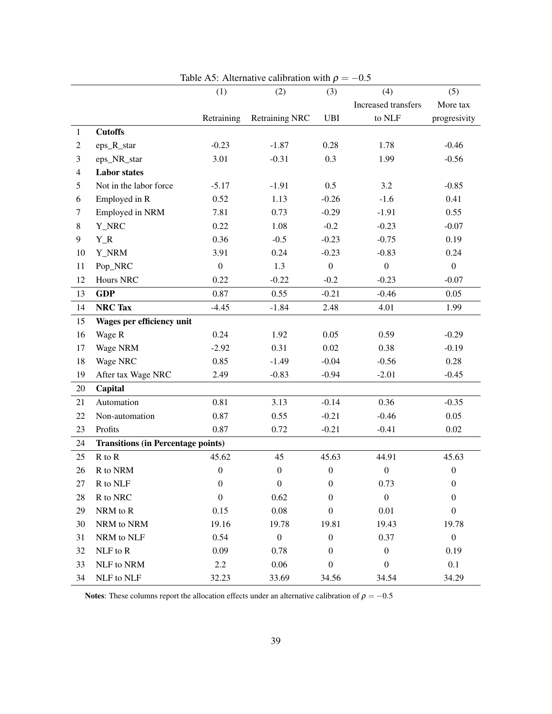|                  |                                           | (1)              | (2)                   | (3)              | (4)                 | (5)              |
|------------------|-------------------------------------------|------------------|-----------------------|------------------|---------------------|------------------|
|                  |                                           |                  |                       |                  | Increased transfers | More tax         |
|                  |                                           | Retraining       | <b>Retraining NRC</b> | <b>UBI</b>       | to NLF              | progresivity     |
| $\mathbf{1}$     | <b>Cutoffs</b>                            |                  |                       |                  |                     |                  |
| $\boldsymbol{2}$ | eps_R_star                                | $-0.23$          | $-1.87$               | 0.28             | 1.78                | $-0.46$          |
| 3                | eps_NR_star                               | 3.01             | $-0.31$               | 0.3              | 1.99                | $-0.56$          |
| $\overline{4}$   | <b>Labor states</b>                       |                  |                       |                  |                     |                  |
| 5                | Not in the labor force                    | $-5.17$          | $-1.91$               | 0.5              | 3.2                 | $-0.85$          |
| 6                | Employed in R                             | 0.52             | 1.13                  | $-0.26$          | $-1.6$              | 0.41             |
| 7                | Employed in NRM                           | 7.81             | 0.73                  | $-0.29$          | $-1.91$             | 0.55             |
| 8                | Y_NRC                                     | 0.22             | 1.08                  | $-0.2$           | $-0.23$             | $-0.07$          |
| 9                | $Y_R$                                     | 0.36             | $-0.5$                | $-0.23$          | $-0.75$             | 0.19             |
| 10               | Y_NRM                                     | 3.91             | 0.24                  | $-0.23$          | $-0.83$             | 0.24             |
| 11               | Pop_NRC                                   | $\boldsymbol{0}$ | 1.3                   | $\boldsymbol{0}$ | $\boldsymbol{0}$    | $\boldsymbol{0}$ |
| 12               | Hours NRC                                 | 0.22             | $-0.22$               | $-0.2$           | $-0.23$             | $-0.07$          |
| 13               | <b>GDP</b>                                | 0.87             | 0.55                  | $-0.21$          | $-0.46$             | 0.05             |
| 14               | <b>NRC Tax</b>                            | $-4.45$          | $-1.84$               | 2.48             | 4.01                | 1.99             |
| 15               | Wages per efficiency unit                 |                  |                       |                  |                     |                  |
| 16               | Wage R                                    | 0.24             | 1.92                  | 0.05             | 0.59                | $-0.29$          |
| 17               | Wage NRM                                  | $-2.92$          | 0.31                  | 0.02             | 0.38                | $-0.19$          |
| 18               | Wage NRC                                  | 0.85             | $-1.49$               | $-0.04$          | $-0.56$             | 0.28             |
| 19               | After tax Wage NRC                        | 2.49             | $-0.83$               | $-0.94$          | $-2.01$             | $-0.45$          |
| 20               | Capital                                   |                  |                       |                  |                     |                  |
| 21               | Automation                                | 0.81             | 3.13                  | $-0.14$          | 0.36                | $-0.35$          |
| 22               | Non-automation                            | 0.87             | 0.55                  | $-0.21$          | $-0.46$             | 0.05             |
| 23               | Profits                                   | 0.87             | 0.72                  | $-0.21$          | $-0.41$             | 0.02             |
| 24               | <b>Transitions (in Percentage points)</b> |                  |                       |                  |                     |                  |
| 25               | $R$ to $R$                                | 45.62            | 45                    | 45.63            | 44.91               | 45.63            |
| 26               | R to NRM                                  | $\boldsymbol{0}$ | $\boldsymbol{0}$      | $\boldsymbol{0}$ | $\boldsymbol{0}$    | $\boldsymbol{0}$ |
| 27               | R to NLF                                  | $\boldsymbol{0}$ | $\boldsymbol{0}$      | $\boldsymbol{0}$ | 0.73                | $\boldsymbol{0}$ |
| 28               | R to NRC                                  | $\boldsymbol{0}$ | 0.62                  | $\boldsymbol{0}$ | $\boldsymbol{0}$    | $\boldsymbol{0}$ |
| 29               | NRM to R                                  | 0.15             | $0.08\,$              | $\boldsymbol{0}$ | 0.01                | $\overline{0}$   |
| 30               | NRM to NRM                                | 19.16            | 19.78                 | 19.81            | 19.43               | 19.78            |
| 31               | NRM to NLF                                | 0.54             | $\boldsymbol{0}$      | $\boldsymbol{0}$ | 0.37                | $\boldsymbol{0}$ |
| 32               | NLF to R                                  | 0.09             | 0.78                  | $\mathbf{0}$     | $\boldsymbol{0}$    | 0.19             |
| 33               | NLF to NRM                                | 2.2              | 0.06                  | $\boldsymbol{0}$ | $\boldsymbol{0}$    | 0.1              |
| 34               | NLF to NLF                                | 32.23            | 33.69                 | 34.56            | 34.54               | 34.29            |

Table A5: Alternative calibration with  $\rho = -0.5$ 

<span id="page-39-0"></span>Notes: These columns report the allocation effects under an alternative calibration of  $\rho = -0.5$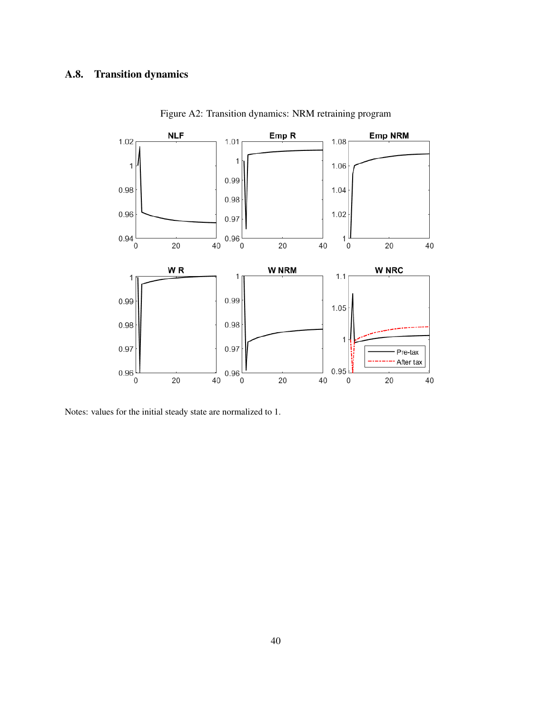## A.8. Transition dynamics



Figure A2: Transition dynamics: NRM retraining program

Notes: values for the initial steady state are normalized to 1.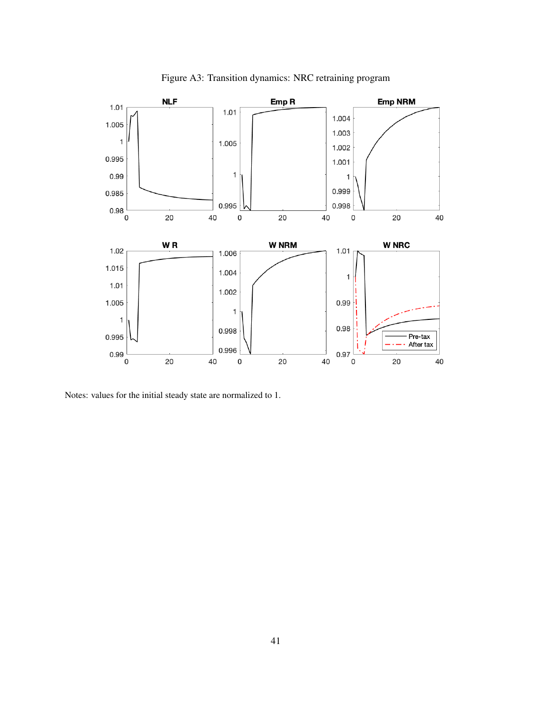

Figure A3: Transition dynamics: NRC retraining program

Notes: values for the initial steady state are normalized to 1.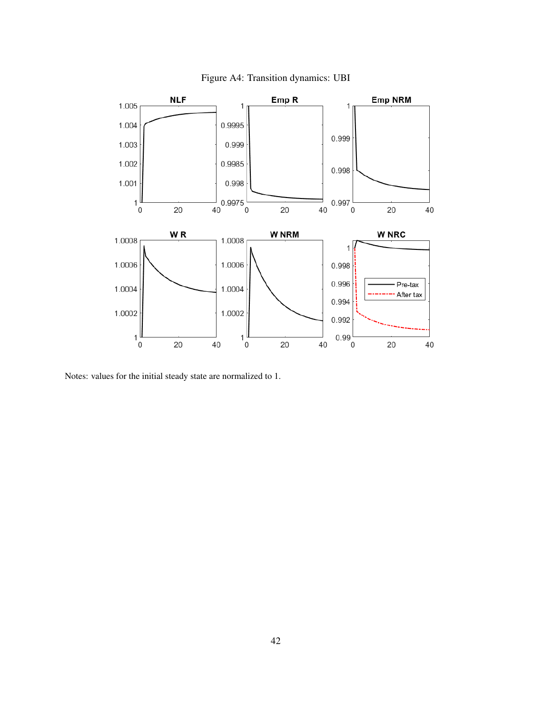

Figure A4: Transition dynamics: UBI

Notes: values for the initial steady state are normalized to 1.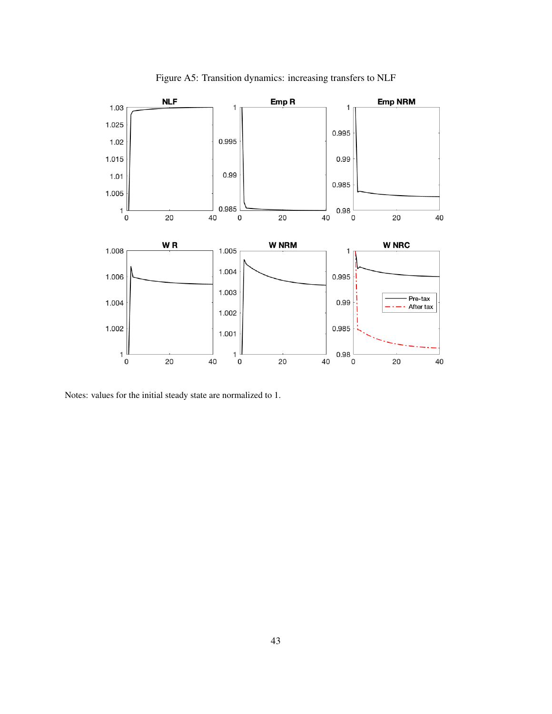

Figure A5: Transition dynamics: increasing transfers to NLF

Notes: values for the initial steady state are normalized to 1.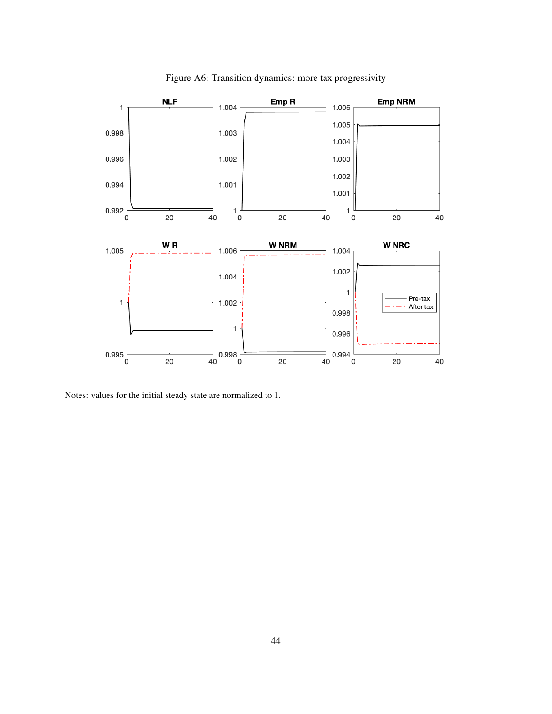

Figure A6: Transition dynamics: more tax progressivity

Notes: values for the initial steady state are normalized to 1.